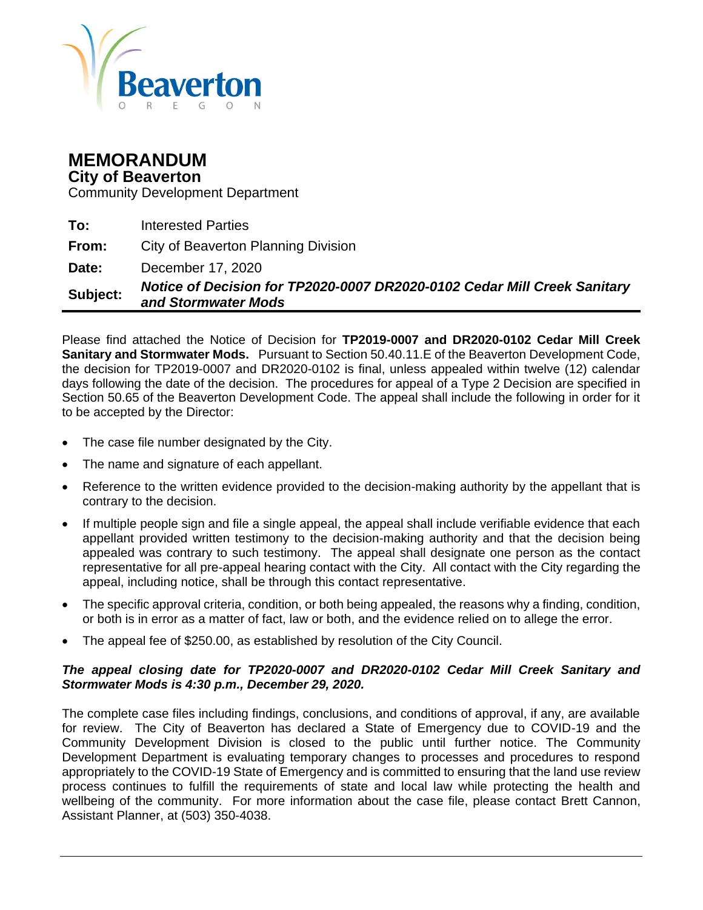

# **MEMORANDUM**

**City of Beaverton**

Community Development Department

**To:** Interested Parties **From:** City of Beaverton Planning Division **Date:** December 17, 2020 **Subject:** *Notice of Decision for TP2020-0007 DR2020-0102 Cedar Mill Creek Sanitary and Stormwater Mods*

Please find attached the Notice of Decision for **TP2019-0007 and DR2020-0102 Cedar Mill Creek Sanitary and Stormwater Mods.** Pursuant to Section 50.40.11.E of the Beaverton Development Code, the decision for TP2019-0007 and DR2020-0102 is final, unless appealed within twelve (12) calendar days following the date of the decision. The procedures for appeal of a Type 2 Decision are specified in Section 50.65 of the Beaverton Development Code. The appeal shall include the following in order for it to be accepted by the Director:

- The case file number designated by the City.
- The name and signature of each appellant.
- Reference to the written evidence provided to the decision-making authority by the appellant that is contrary to the decision.
- If multiple people sign and file a single appeal, the appeal shall include verifiable evidence that each appellant provided written testimony to the decision-making authority and that the decision being appealed was contrary to such testimony. The appeal shall designate one person as the contact representative for all pre-appeal hearing contact with the City. All contact with the City regarding the appeal, including notice, shall be through this contact representative.
- The specific approval criteria, condition, or both being appealed, the reasons why a finding, condition, or both is in error as a matter of fact, law or both, and the evidence relied on to allege the error.
- The appeal fee of \$250.00, as established by resolution of the City Council.

#### *The appeal closing date for TP2020-0007 and DR2020-0102 Cedar Mill Creek Sanitary and Stormwater Mods is 4:30 p.m., December 29, 2020.*

The complete case files including findings, conclusions, and conditions of approval, if any, are available for review. The City of Beaverton has declared a State of Emergency due to COVID-19 and the Community Development Division is closed to the public until further notice. The Community Development Department is evaluating temporary changes to processes and procedures to respond appropriately to the COVID-19 State of Emergency and is committed to ensuring that the land use review process continues to fulfill the requirements of state and local law while protecting the health and wellbeing of the community. For more information about the case file, please contact Brett Cannon, Assistant Planner, at (503) 350-4038.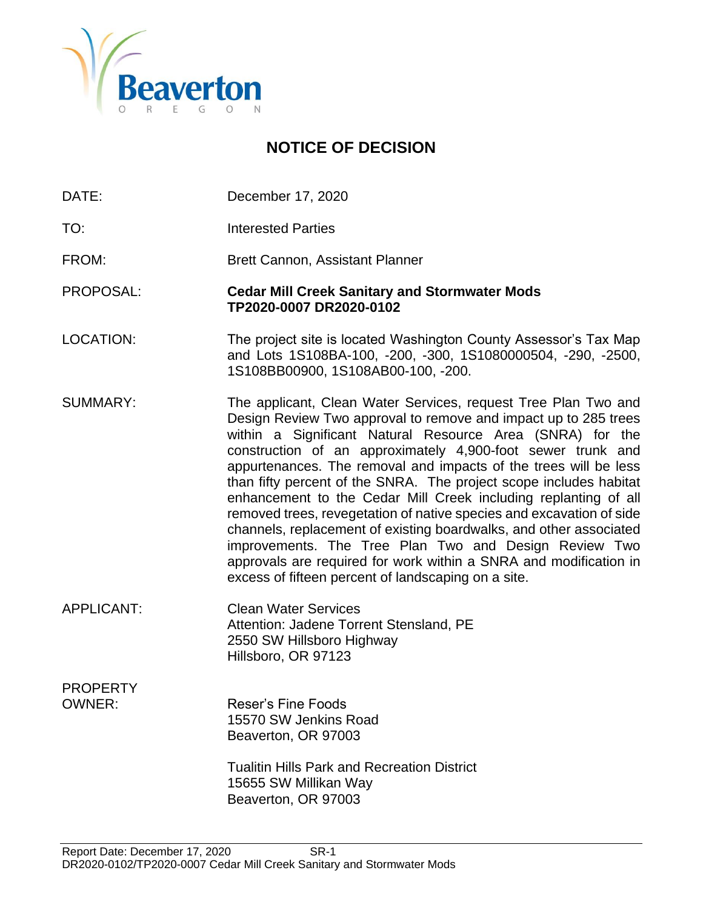

# **NOTICE OF DECISION**

- DATE: December 17, 2020
- TO: Interested Parties
- FROM: Brett Cannon, Assistant Planner
- PROPOSAL: **Cedar Mill Creek Sanitary and Stormwater Mods TP2020-0007 DR2020-0102**
- LOCATION: The project site is located Washington County Assessor's Tax Map and Lots 1S108BA-100, -200, -300, 1S1080000504, -290, -2500, 1S108BB00900, 1S108AB00-100, -200.
- SUMMARY: The applicant, Clean Water Services, request Tree Plan Two and Design Review Two approval to remove and impact up to 285 trees within a Significant Natural Resource Area (SNRA) for the construction of an approximately 4,900-foot sewer trunk and appurtenances. The removal and impacts of the trees will be less than fifty percent of the SNRA. The project scope includes habitat enhancement to the Cedar Mill Creek including replanting of all removed trees, revegetation of native species and excavation of side channels, replacement of existing boardwalks, and other associated improvements. The Tree Plan Two and Design Review Two approvals are required for work within a SNRA and modification in excess of fifteen percent of landscaping on a site.
- APPLICANT: Clean Water Services Attention: Jadene Torrent Stensland, PE 2550 SW Hillsboro Highway Hillsboro, OR 97123
- PROPERTY OWNER: Reser's Fine Foods 15570 SW Jenkins Road Beaverton, OR 97003

Tualitin Hills Park and Recreation District 15655 SW Millikan Way Beaverton, OR 97003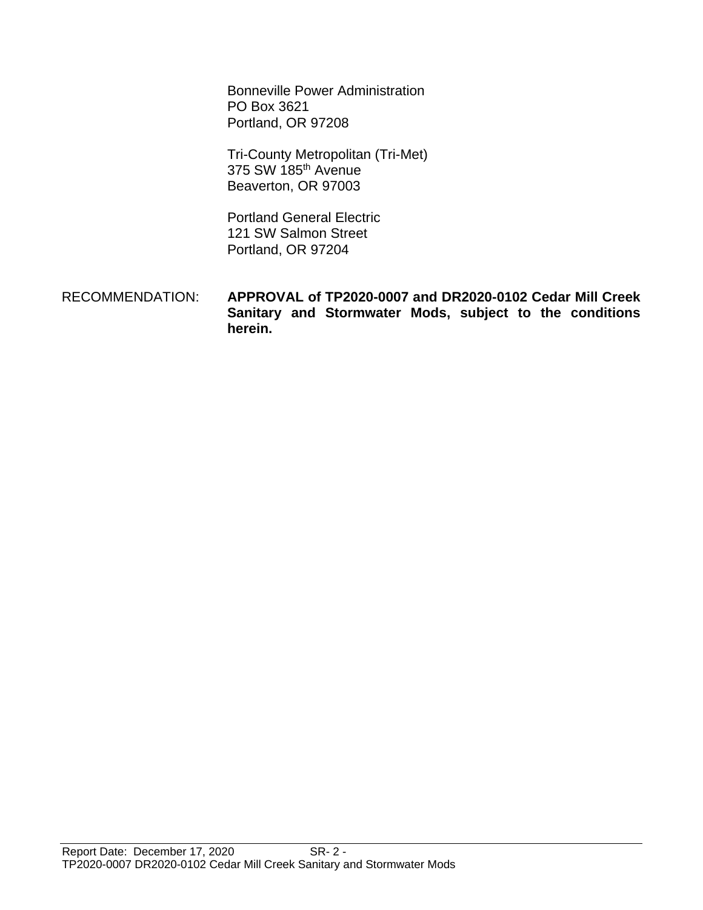Bonneville Power Administration PO Box 3621 Portland, OR 97208

Tri-County Metropolitan (Tri-Met) 375 SW 185th Avenue Beaverton, OR 97003

Portland General Electric 121 SW Salmon Street Portland, OR 97204

 RECOMMENDATION: **APPROVAL of TP2020-0007 and DR2020-0102 Cedar Mill Creek Sanitary and Stormwater Mods, subject to the conditions herein.**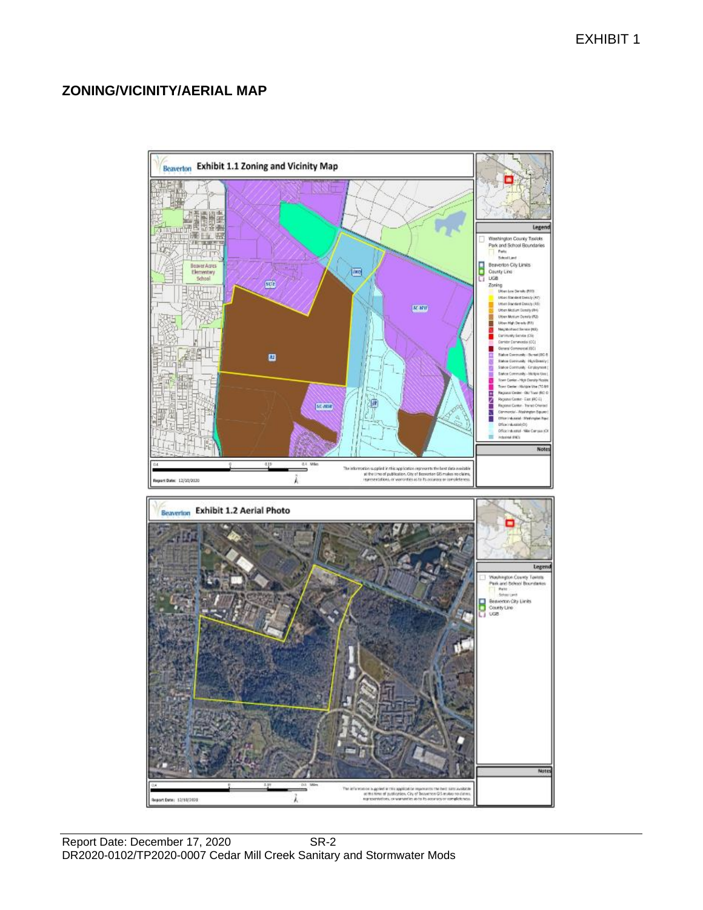# **ZONING/VICINITY/AERIAL MAP**

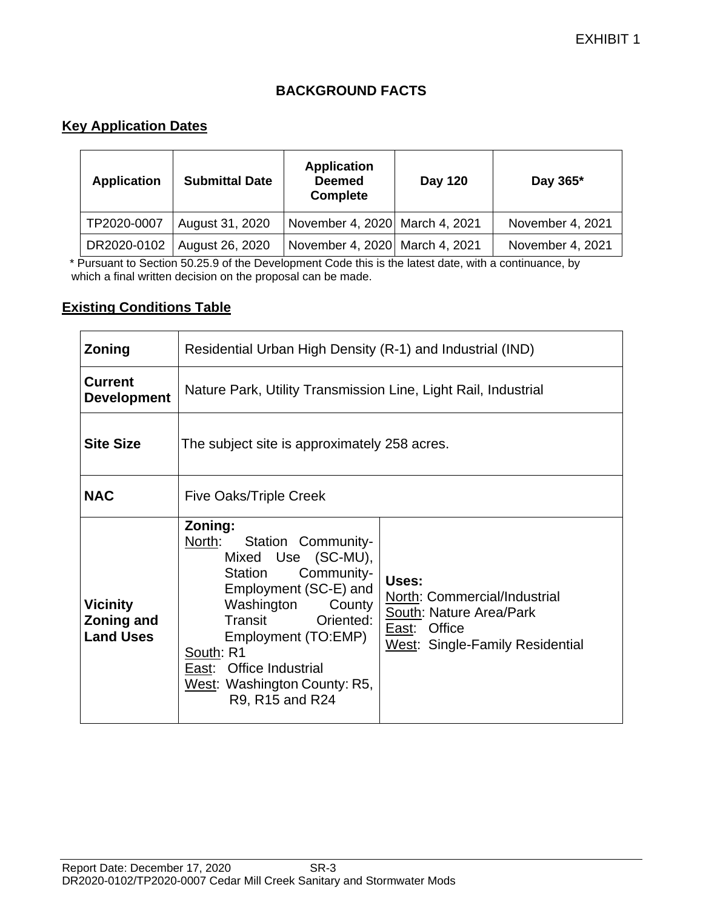# **BACKGROUND FACTS**

# **Key Application Dates**

| <b>Application</b> | <b>Submittal Date</b> | <b>Application</b><br><b>Deemed</b><br><b>Complete</b> | Day 120 | Day 365*         |
|--------------------|-----------------------|--------------------------------------------------------|---------|------------------|
| TP2020-0007        | August 31, 2020       | November 4, 2020 March 4, 2021                         |         | November 4, 2021 |
| DR2020-0102        | August 26, 2020       | November 4, 2020 March 4, 2021                         |         | November 4, 2021 |

 \* Pursuant to Section 50.25.9 of the Development Code this is the latest date, with a continuance, by which a final written decision on the proposal can be made.

#### **Existing Conditions Table**

| <b>Zoning</b>                                     | Residential Urban High Density (R-1) and Industrial (IND)                                                                                                                                                                                                                         |                                                                                                                     |  |
|---------------------------------------------------|-----------------------------------------------------------------------------------------------------------------------------------------------------------------------------------------------------------------------------------------------------------------------------------|---------------------------------------------------------------------------------------------------------------------|--|
| <b>Current</b><br><b>Development</b>              | Nature Park, Utility Transmission Line, Light Rail, Industrial                                                                                                                                                                                                                    |                                                                                                                     |  |
| <b>Site Size</b>                                  | The subject site is approximately 258 acres.                                                                                                                                                                                                                                      |                                                                                                                     |  |
| <b>NAC</b>                                        | <b>Five Oaks/Triple Creek</b>                                                                                                                                                                                                                                                     |                                                                                                                     |  |
| <b>Vicinity</b><br>Zoning and<br><b>Land Uses</b> | Zoning:<br>North:<br>Station Community-<br>Mixed Use (SC-MU),<br>Community-<br>Station<br>Employment (SC-E) and<br>Washington<br>County<br>Transit<br>Oriented:<br>Employment (TO:EMP)<br>South: R1<br>East: Office Industrial<br>West: Washington County: R5,<br>R9, R15 and R24 | Uses:<br>North: Commercial/Industrial<br>South: Nature Area/Park<br>East: Office<br>West: Single-Family Residential |  |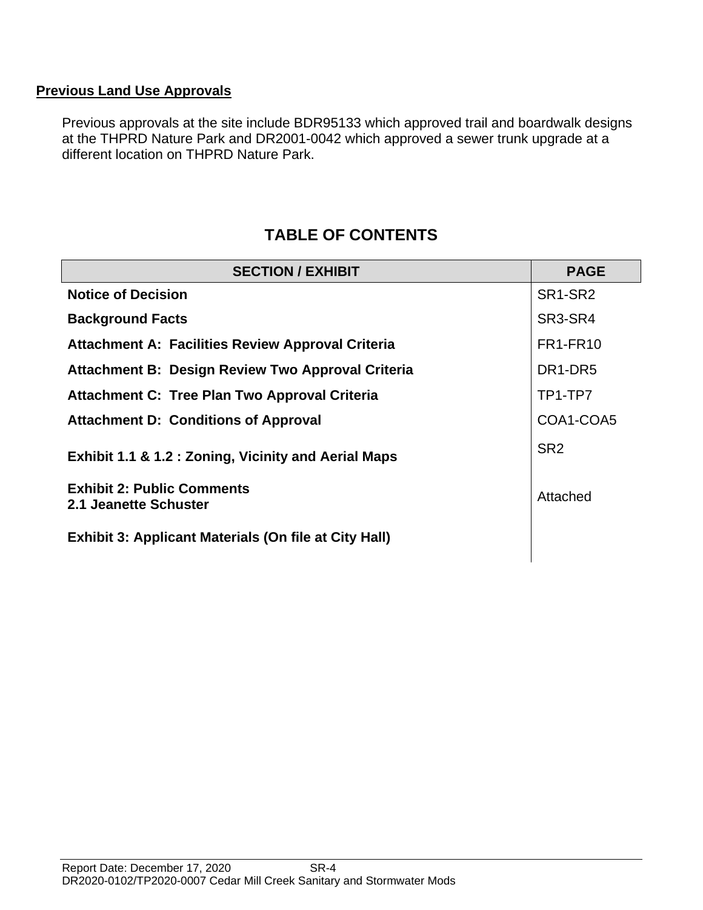# **Previous Land Use Approvals**

Previous approvals at the site include BDR95133 which approved trail and boardwalk designs at the THPRD Nature Park and DR2001-0042 which approved a sewer trunk upgrade at a different location on THPRD Nature Park.

# **TABLE OF CONTENTS**

| <b>SECTION / EXHIBIT</b>                                        | <b>PAGE</b>                      |
|-----------------------------------------------------------------|----------------------------------|
| <b>Notice of Decision</b>                                       | SR1-SR2                          |
| <b>Background Facts</b>                                         | SR3-SR4                          |
| <b>Attachment A: Facilities Review Approval Criteria</b>        | <b>FR1-FR10</b>                  |
| Attachment B: Design Review Two Approval Criteria               | DR <sub>1</sub> -DR <sub>5</sub> |
| <b>Attachment C: Tree Plan Two Approval Criteria</b>            | TP1-TP7                          |
| <b>Attachment D: Conditions of Approval</b>                     | COA1-COA5                        |
| <b>Exhibit 1.1 &amp; 1.2 : Zoning, Vicinity and Aerial Maps</b> | SR <sub>2</sub>                  |
| <b>Exhibit 2: Public Comments</b><br>2.1 Jeanette Schuster      | Attached                         |
| <b>Exhibit 3: Applicant Materials (On file at City Hall)</b>    |                                  |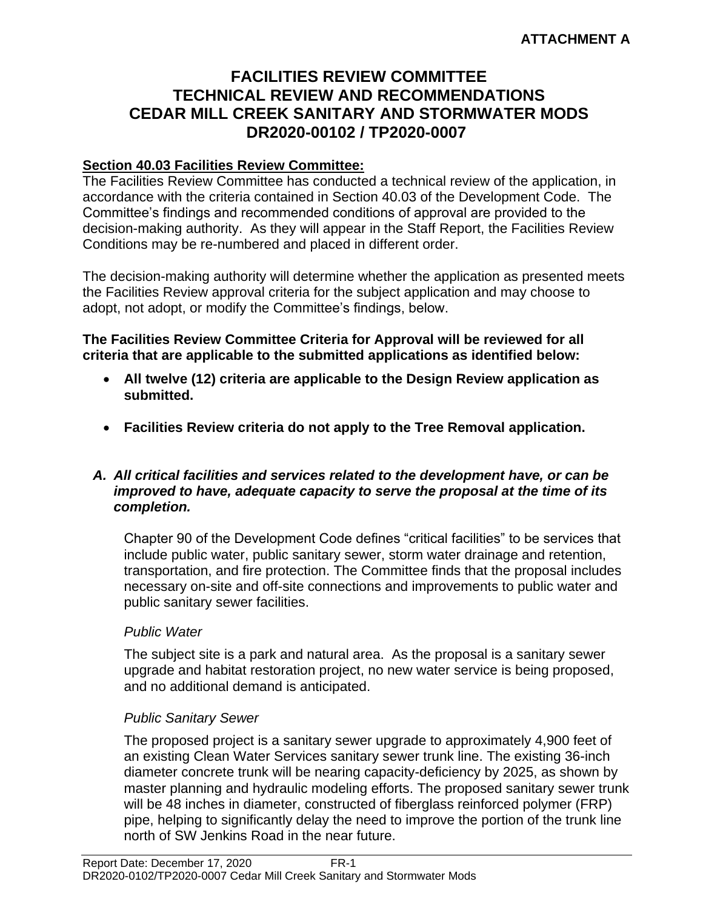# **FACILITIES REVIEW COMMITTEE TECHNICAL REVIEW AND RECOMMENDATIONS CEDAR MILL CREEK SANITARY AND STORMWATER MODS DR2020-00102 / TP2020-0007**

#### **Section 40.03 Facilities Review Committee:**

The Facilities Review Committee has conducted a technical review of the application, in accordance with the criteria contained in Section 40.03 of the Development Code. The Committee's findings and recommended conditions of approval are provided to the decision-making authority. As they will appear in the Staff Report, the Facilities Review Conditions may be re-numbered and placed in different order.

The decision-making authority will determine whether the application as presented meets the Facilities Review approval criteria for the subject application and may choose to adopt, not adopt, or modify the Committee's findings, below.

**The Facilities Review Committee Criteria for Approval will be reviewed for all criteria that are applicable to the submitted applications as identified below:**

- **All twelve (12) criteria are applicable to the Design Review application as submitted.**
- **Facilities Review criteria do not apply to the Tree Removal application.**

#### *A. All critical facilities and services related to the development have, or can be improved to have, adequate capacity to serve the proposal at the time of its completion.*

Chapter 90 of the Development Code defines "critical facilities" to be services that include public water, public sanitary sewer, storm water drainage and retention, transportation, and fire protection. The Committee finds that the proposal includes necessary on-site and off-site connections and improvements to public water and public sanitary sewer facilities.

#### *Public Water*

The subject site is a park and natural area. As the proposal is a sanitary sewer upgrade and habitat restoration project, no new water service is being proposed, and no additional demand is anticipated.

#### *Public Sanitary Sewer*

The proposed project is a sanitary sewer upgrade to approximately 4,900 feet of an existing Clean Water Services sanitary sewer trunk line. The existing 36-inch diameter concrete trunk will be nearing capacity-deficiency by 2025, as shown by master planning and hydraulic modeling efforts. The proposed sanitary sewer trunk will be 48 inches in diameter, constructed of fiberglass reinforced polymer (FRP) pipe, helping to significantly delay the need to improve the portion of the trunk line north of SW Jenkins Road in the near future.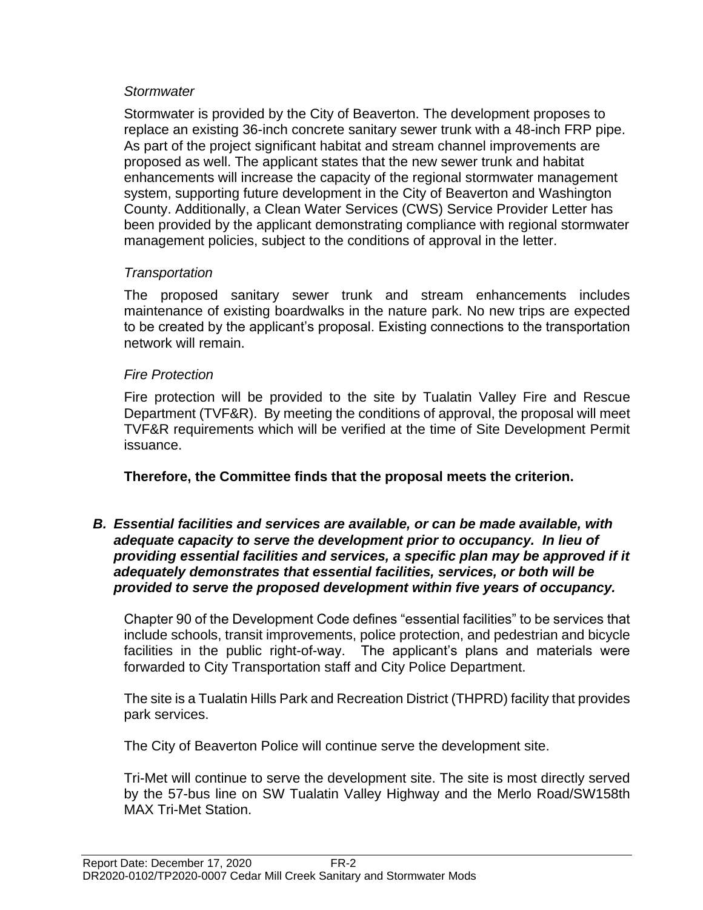#### *Stormwater*

Stormwater is provided by the City of Beaverton. The development proposes to replace an existing 36-inch concrete sanitary sewer trunk with a 48-inch FRP pipe. As part of the project significant habitat and stream channel improvements are proposed as well. The applicant states that the new sewer trunk and habitat enhancements will increase the capacity of the regional stormwater management system, supporting future development in the City of Beaverton and Washington County. Additionally, a Clean Water Services (CWS) Service Provider Letter has been provided by the applicant demonstrating compliance with regional stormwater management policies, subject to the conditions of approval in the letter.

#### *Transportation*

The proposed sanitary sewer trunk and stream enhancements includes maintenance of existing boardwalks in the nature park. No new trips are expected to be created by the applicant's proposal. Existing connections to the transportation network will remain.

#### *Fire Protection*

Fire protection will be provided to the site by Tualatin Valley Fire and Rescue Department (TVF&R). By meeting the conditions of approval, the proposal will meet TVF&R requirements which will be verified at the time of Site Development Permit issuance.

**Therefore, the Committee finds that the proposal meets the criterion.** 

*B. Essential facilities and services are available, or can be made available, with adequate capacity to serve the development prior to occupancy. In lieu of providing essential facilities and services, a specific plan may be approved if it adequately demonstrates that essential facilities, services, or both will be provided to serve the proposed development within five years of occupancy.*

Chapter 90 of the Development Code defines "essential facilities" to be services that include schools, transit improvements, police protection, and pedestrian and bicycle facilities in the public right-of-way. The applicant's plans and materials were forwarded to City Transportation staff and City Police Department.

The site is a Tualatin Hills Park and Recreation District (THPRD) facility that provides park services.

The City of Beaverton Police will continue serve the development site.

Tri-Met will continue to serve the development site. The site is most directly served by the 57-bus line on SW Tualatin Valley Highway and the Merlo Road/SW158th MAX Tri-Met Station.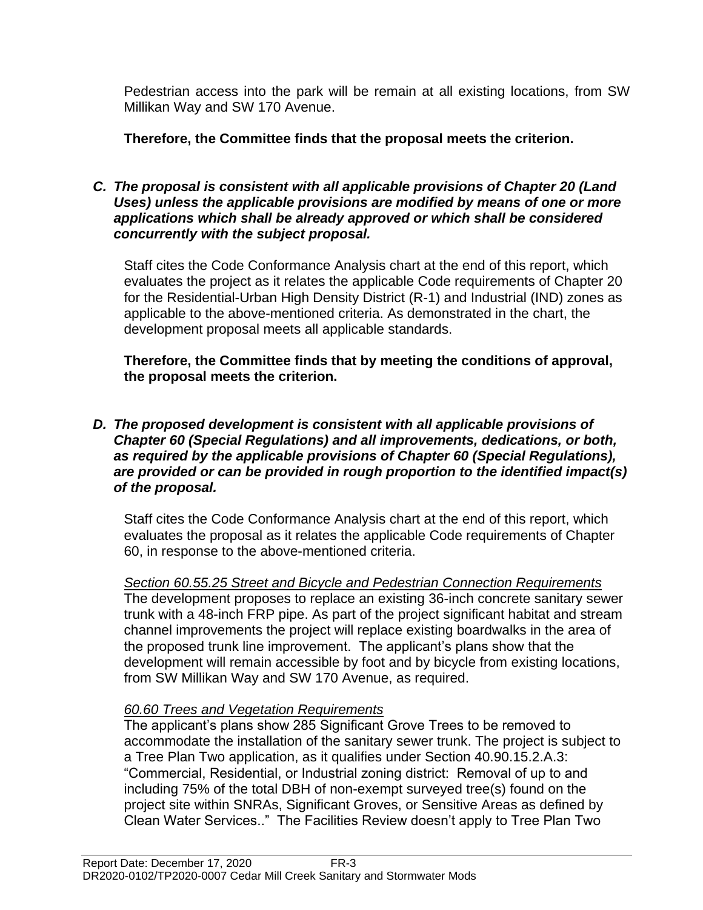Pedestrian access into the park will be remain at all existing locations, from SW Millikan Way and SW 170 Avenue.

**Therefore, the Committee finds that the proposal meets the criterion.** 

#### *C. The proposal is consistent with all applicable provisions of Chapter 20 (Land Uses) unless the applicable provisions are modified by means of one or more applications which shall be already approved or which shall be considered concurrently with the subject proposal.*

Staff cites the Code Conformance Analysis chart at the end of this report, which evaluates the project as it relates the applicable Code requirements of Chapter 20 for the Residential-Urban High Density District (R-1) and Industrial (IND) zones as applicable to the above-mentioned criteria. As demonstrated in the chart, the development proposal meets all applicable standards.

**Therefore, the Committee finds that by meeting the conditions of approval, the proposal meets the criterion.** 

#### *D. The proposed development is consistent with all applicable provisions of Chapter 60 (Special Regulations) and all improvements, dedications, or both, as required by the applicable provisions of Chapter 60 (Special Regulations), are provided or can be provided in rough proportion to the identified impact(s) of the proposal.*

Staff cites the Code Conformance Analysis chart at the end of this report, which evaluates the proposal as it relates the applicable Code requirements of Chapter 60, in response to the above-mentioned criteria.

*Section 60.55.25 Street and Bicycle and Pedestrian Connection Requirements* The development proposes to replace an existing 36-inch concrete sanitary sewer trunk with a 48-inch FRP pipe. As part of the project significant habitat and stream channel improvements the project will replace existing boardwalks in the area of the proposed trunk line improvement. The applicant's plans show that the development will remain accessible by foot and by bicycle from existing locations, from SW Millikan Way and SW 170 Avenue, as required.

# *60.60 Trees and Vegetation Requirements*

The applicant's plans show 285 Significant Grove Trees to be removed to accommodate the installation of the sanitary sewer trunk. The project is subject to a Tree Plan Two application, as it qualifies under Section 40.90.15.2.A.3: "Commercial, Residential, or Industrial zoning district: Removal of up to and including 75% of the total DBH of non-exempt surveyed tree(s) found on the project site within SNRAs, Significant Groves, or Sensitive Areas as defined by Clean Water Services.." The Facilities Review doesn't apply to Tree Plan Two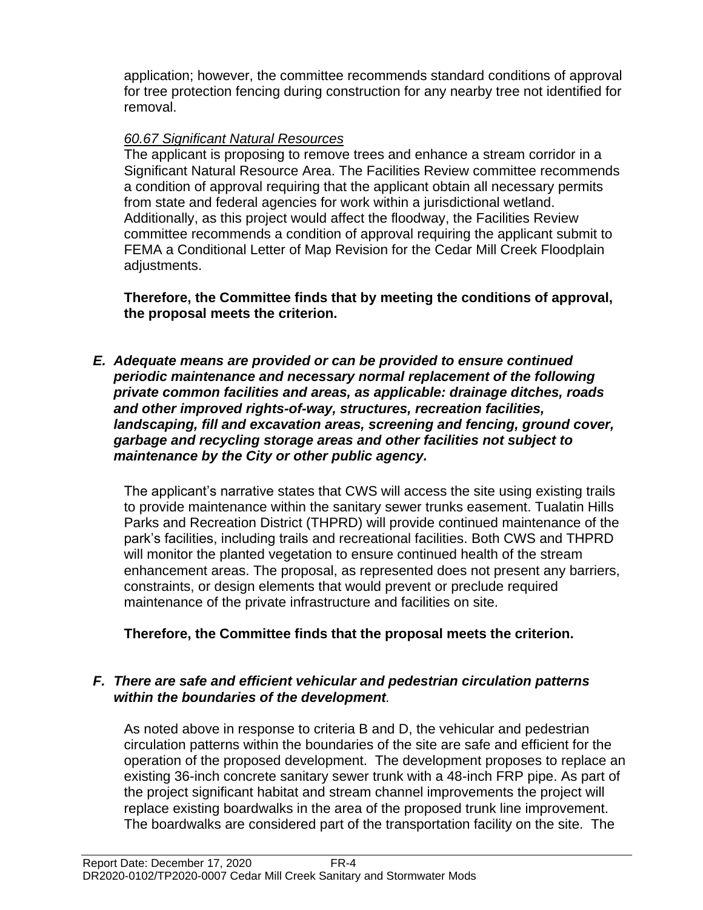application; however, the committee recommends standard conditions of approval for tree protection fencing during construction for any nearby tree not identified for removal.

## *60.67 Significant Natural Resources*

The applicant is proposing to remove trees and enhance a stream corridor in a Significant Natural Resource Area. The Facilities Review committee recommends a condition of approval requiring that the applicant obtain all necessary permits from state and federal agencies for work within a jurisdictional wetland. Additionally, as this project would affect the floodway, the Facilities Review committee recommends a condition of approval requiring the applicant submit to FEMA a Conditional Letter of Map Revision for the Cedar Mill Creek Floodplain adjustments.

**Therefore, the Committee finds that by meeting the conditions of approval, the proposal meets the criterion.** 

*E. Adequate means are provided or can be provided to ensure continued periodic maintenance and necessary normal replacement of the following private common facilities and areas, as applicable: drainage ditches, roads and other improved rights-of-way, structures, recreation facilities, landscaping, fill and excavation areas, screening and fencing, ground cover, garbage and recycling storage areas and other facilities not subject to maintenance by the City or other public agency.*

The applicant's narrative states that CWS will access the site using existing trails to provide maintenance within the sanitary sewer trunks easement. Tualatin Hills Parks and Recreation District (THPRD) will provide continued maintenance of the park's facilities, including trails and recreational facilities. Both CWS and THPRD will monitor the planted vegetation to ensure continued health of the stream enhancement areas. The proposal, as represented does not present any barriers, constraints, or design elements that would prevent or preclude required maintenance of the private infrastructure and facilities on site.

**Therefore, the Committee finds that the proposal meets the criterion.** 

#### *F. There are safe and efficient vehicular and pedestrian circulation patterns within the boundaries of the development.*

As noted above in response to criteria B and D, the vehicular and pedestrian circulation patterns within the boundaries of the site are safe and efficient for the operation of the proposed development. The development proposes to replace an existing 36-inch concrete sanitary sewer trunk with a 48-inch FRP pipe. As part of the project significant habitat and stream channel improvements the project will replace existing boardwalks in the area of the proposed trunk line improvement. The boardwalks are considered part of the transportation facility on the site. The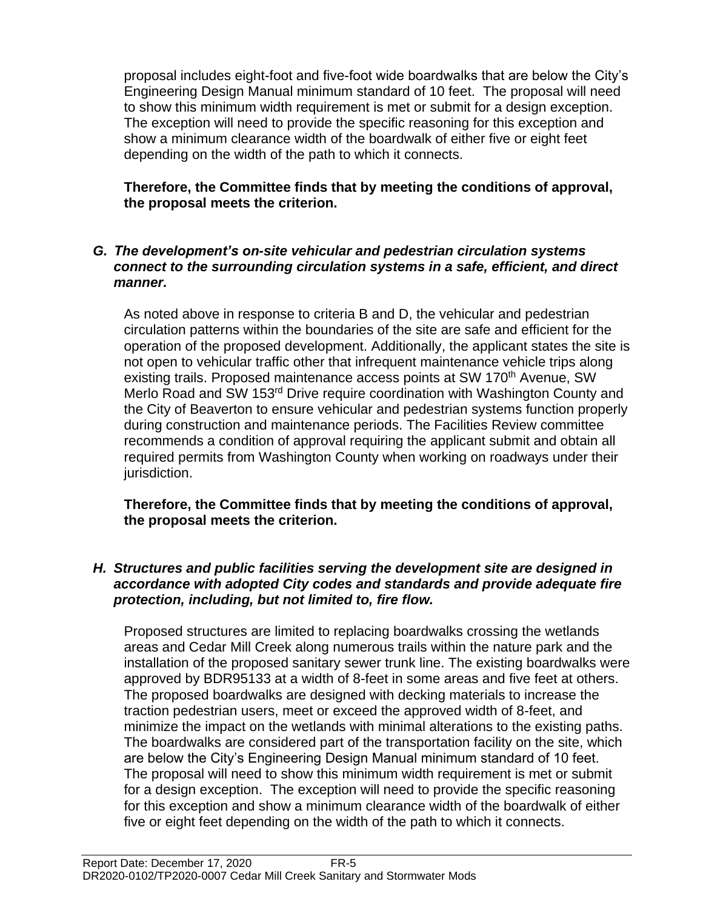proposal includes eight-foot and five-foot wide boardwalks that are below the City's Engineering Design Manual minimum standard of 10 feet. The proposal will need to show this minimum width requirement is met or submit for a design exception. The exception will need to provide the specific reasoning for this exception and show a minimum clearance width of the boardwalk of either five or eight feet depending on the width of the path to which it connects.

#### **Therefore, the Committee finds that by meeting the conditions of approval, the proposal meets the criterion.**

#### *G. The development's on-site vehicular and pedestrian circulation systems connect to the surrounding circulation systems in a safe, efficient, and direct manner.*

As noted above in response to criteria B and D, the vehicular and pedestrian circulation patterns within the boundaries of the site are safe and efficient for the operation of the proposed development. Additionally, the applicant states the site is not open to vehicular traffic other that infrequent maintenance vehicle trips along existing trails. Proposed maintenance access points at SW 170<sup>th</sup> Avenue, SW Merlo Road and SW 153rd Drive require coordination with Washington County and the City of Beaverton to ensure vehicular and pedestrian systems function properly during construction and maintenance periods. The Facilities Review committee recommends a condition of approval requiring the applicant submit and obtain all required permits from Washington County when working on roadways under their jurisdiction.

**Therefore, the Committee finds that by meeting the conditions of approval, the proposal meets the criterion.** 

#### *H. Structures and public facilities serving the development site are designed in accordance with adopted City codes and standards and provide adequate fire protection, including, but not limited to, fire flow.*

Proposed structures are limited to replacing boardwalks crossing the wetlands areas and Cedar Mill Creek along numerous trails within the nature park and the installation of the proposed sanitary sewer trunk line. The existing boardwalks were approved by BDR95133 at a width of 8-feet in some areas and five feet at others. The proposed boardwalks are designed with decking materials to increase the traction pedestrian users, meet or exceed the approved width of 8-feet, and minimize the impact on the wetlands with minimal alterations to the existing paths. The boardwalks are considered part of the transportation facility on the site, which are below the City's Engineering Design Manual minimum standard of 10 feet. The proposal will need to show this minimum width requirement is met or submit for a design exception. The exception will need to provide the specific reasoning for this exception and show a minimum clearance width of the boardwalk of either five or eight feet depending on the width of the path to which it connects.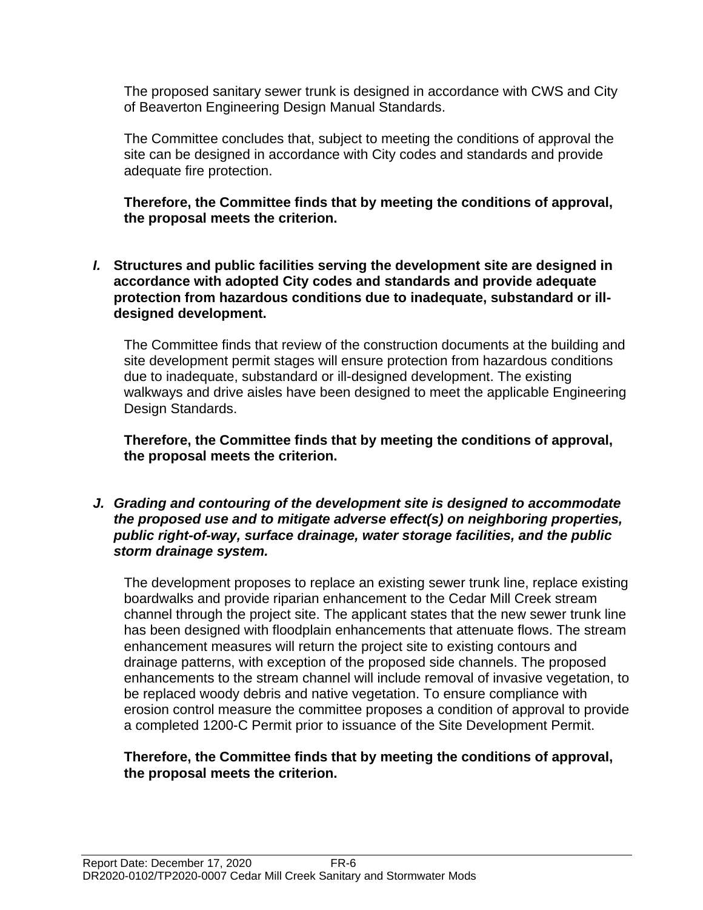The proposed sanitary sewer trunk is designed in accordance with CWS and City of Beaverton Engineering Design Manual Standards.

The Committee concludes that, subject to meeting the conditions of approval the site can be designed in accordance with City codes and standards and provide adequate fire protection.

**Therefore, the Committee finds that by meeting the conditions of approval, the proposal meets the criterion.** 

*I.* **Structures and public facilities serving the development site are designed in accordance with adopted City codes and standards and provide adequate protection from hazardous conditions due to inadequate, substandard or illdesigned development.**

The Committee finds that review of the construction documents at the building and site development permit stages will ensure protection from hazardous conditions due to inadequate, substandard or ill-designed development. The existing walkways and drive aisles have been designed to meet the applicable Engineering Design Standards.

**Therefore, the Committee finds that by meeting the conditions of approval, the proposal meets the criterion.** 

*J. Grading and contouring of the development site is designed to accommodate the proposed use and to mitigate adverse effect(s) on neighboring properties, public right-of-way, surface drainage, water storage facilities, and the public storm drainage system.*

The development proposes to replace an existing sewer trunk line, replace existing boardwalks and provide riparian enhancement to the Cedar Mill Creek stream channel through the project site. The applicant states that the new sewer trunk line has been designed with floodplain enhancements that attenuate flows. The stream enhancement measures will return the project site to existing contours and drainage patterns, with exception of the proposed side channels. The proposed enhancements to the stream channel will include removal of invasive vegetation, to be replaced woody debris and native vegetation. To ensure compliance with erosion control measure the committee proposes a condition of approval to provide a completed 1200-C Permit prior to issuance of the Site Development Permit.

#### **Therefore, the Committee finds that by meeting the conditions of approval, the proposal meets the criterion.**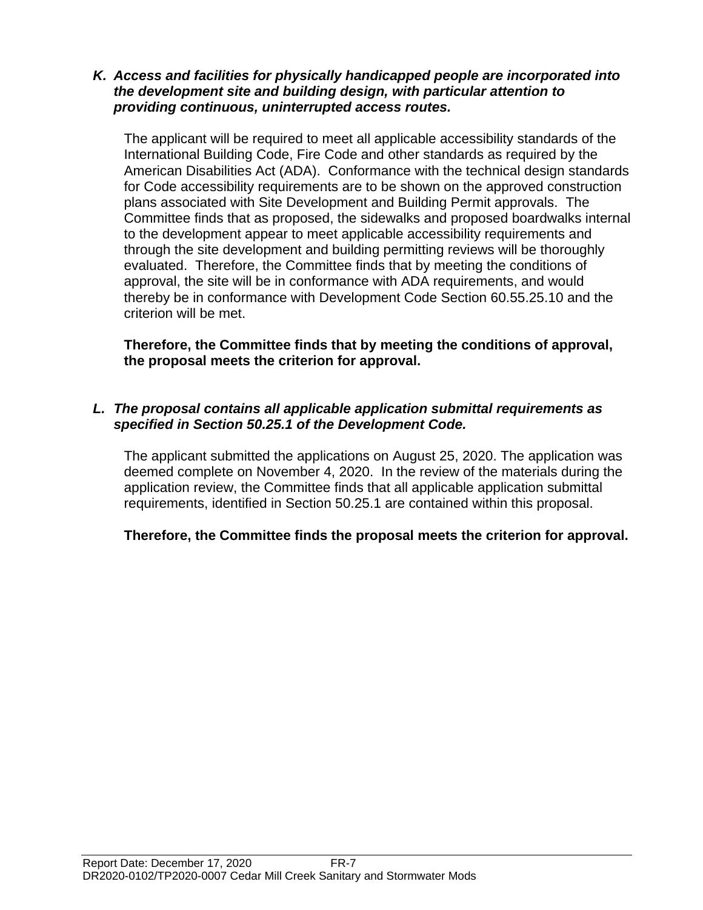#### *K. Access and facilities for physically handicapped people are incorporated into the development site and building design, with particular attention to providing continuous, uninterrupted access routes.*

The applicant will be required to meet all applicable accessibility standards of the International Building Code, Fire Code and other standards as required by the American Disabilities Act (ADA). Conformance with the technical design standards for Code accessibility requirements are to be shown on the approved construction plans associated with Site Development and Building Permit approvals. The Committee finds that as proposed, the sidewalks and proposed boardwalks internal to the development appear to meet applicable accessibility requirements and through the site development and building permitting reviews will be thoroughly evaluated. Therefore, the Committee finds that by meeting the conditions of approval, the site will be in conformance with ADA requirements, and would thereby be in conformance with Development Code Section 60.55.25.10 and the criterion will be met.

**Therefore, the Committee finds that by meeting the conditions of approval, the proposal meets the criterion for approval.**

#### *L. The proposal contains all applicable application submittal requirements as specified in Section 50.25.1 of the Development Code.*

The applicant submitted the applications on August 25, 2020. The application was deemed complete on November 4, 2020. In the review of the materials during the application review, the Committee finds that all applicable application submittal requirements, identified in Section 50.25.1 are contained within this proposal.

**Therefore, the Committee finds the proposal meets the criterion for approval.**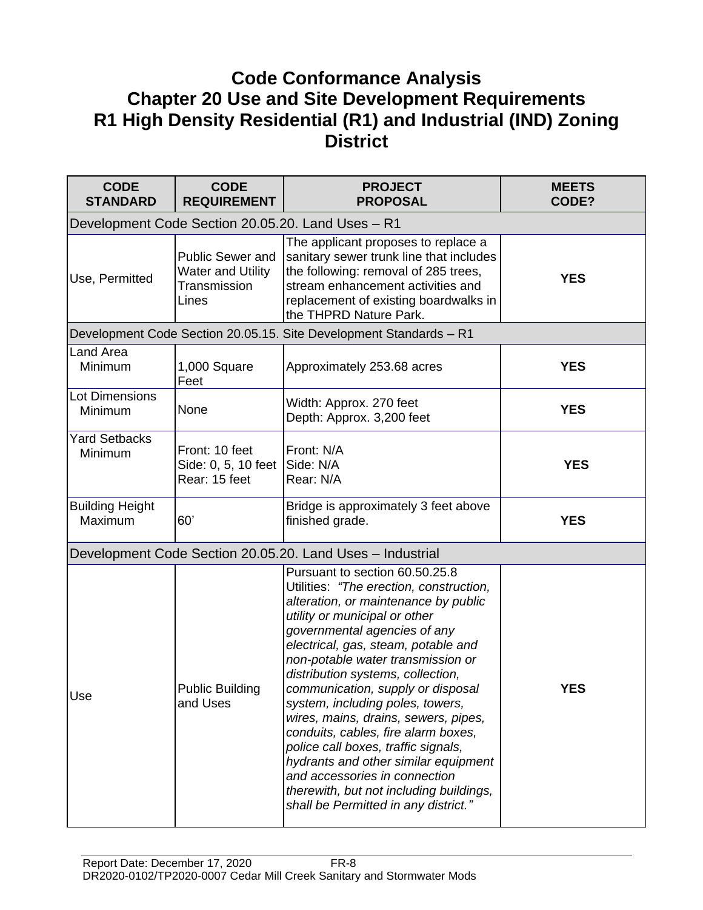# **Code Conformance Analysis Chapter 20 Use and Site Development Requirements R1 High Density Residential (R1) and Industrial (IND) Zoning District**

| <b>CODE</b><br><b>STANDARD</b>    | <b>CODE</b><br><b>REQUIREMENT</b>                                            | <b>PROJECT</b><br><b>PROPOSAL</b>                                                                                                                                                                                                                                                                                                                                                                                                                                                                                                                                                                                                                              | <b>MEETS</b><br>CODE? |
|-----------------------------------|------------------------------------------------------------------------------|----------------------------------------------------------------------------------------------------------------------------------------------------------------------------------------------------------------------------------------------------------------------------------------------------------------------------------------------------------------------------------------------------------------------------------------------------------------------------------------------------------------------------------------------------------------------------------------------------------------------------------------------------------------|-----------------------|
|                                   |                                                                              | Development Code Section 20.05.20. Land Uses - R1                                                                                                                                                                                                                                                                                                                                                                                                                                                                                                                                                                                                              |                       |
| Use, Permitted                    | <b>Public Sewer and</b><br><b>Water and Utility</b><br>Transmission<br>Lines | The applicant proposes to replace a<br>sanitary sewer trunk line that includes<br>the following: removal of 285 trees,<br>stream enhancement activities and<br>replacement of existing boardwalks in<br>the THPRD Nature Park.                                                                                                                                                                                                                                                                                                                                                                                                                                 | <b>YES</b>            |
|                                   |                                                                              | Development Code Section 20.05.15. Site Development Standards - R1                                                                                                                                                                                                                                                                                                                                                                                                                                                                                                                                                                                             |                       |
| Land Area<br>Minimum              | 1,000 Square<br>Feet                                                         | Approximately 253.68 acres                                                                                                                                                                                                                                                                                                                                                                                                                                                                                                                                                                                                                                     | <b>YES</b>            |
| <b>Lot Dimensions</b><br>Minimum  | None                                                                         | Width: Approx. 270 feet<br>Depth: Approx. 3,200 feet                                                                                                                                                                                                                                                                                                                                                                                                                                                                                                                                                                                                           | <b>YES</b>            |
| <b>Yard Setbacks</b><br>Minimum   | Front: 10 feet<br>Side: 0, 5, 10 feet<br>Rear: 15 feet                       | Front: N/A<br>Side: N/A<br>Rear: N/A                                                                                                                                                                                                                                                                                                                                                                                                                                                                                                                                                                                                                           | <b>YES</b>            |
| <b>Building Height</b><br>Maximum | 60'                                                                          | Bridge is approximately 3 feet above<br>finished grade.                                                                                                                                                                                                                                                                                                                                                                                                                                                                                                                                                                                                        | <b>YES</b>            |
|                                   |                                                                              | Development Code Section 20.05.20. Land Uses - Industrial                                                                                                                                                                                                                                                                                                                                                                                                                                                                                                                                                                                                      |                       |
| Use                               | <b>Public Building</b><br>and Uses                                           | Pursuant to section 60.50.25.8<br>Utilities: "The erection, construction,<br>alteration, or maintenance by public<br>utility or municipal or other<br>governmental agencies of any<br>electrical, gas, steam, potable and<br>non-potable water transmission or<br>distribution systems, collection,<br>communication, supply or disposal<br>system, including poles, towers,<br>wires, mains, drains, sewers, pipes,<br>conduits, cables, fire alarm boxes,<br>police call boxes, traffic signals,<br>hydrants and other similar equipment<br>and accessories in connection<br>therewith, but not including buildings,<br>shall be Permitted in any district." | <b>YES</b>            |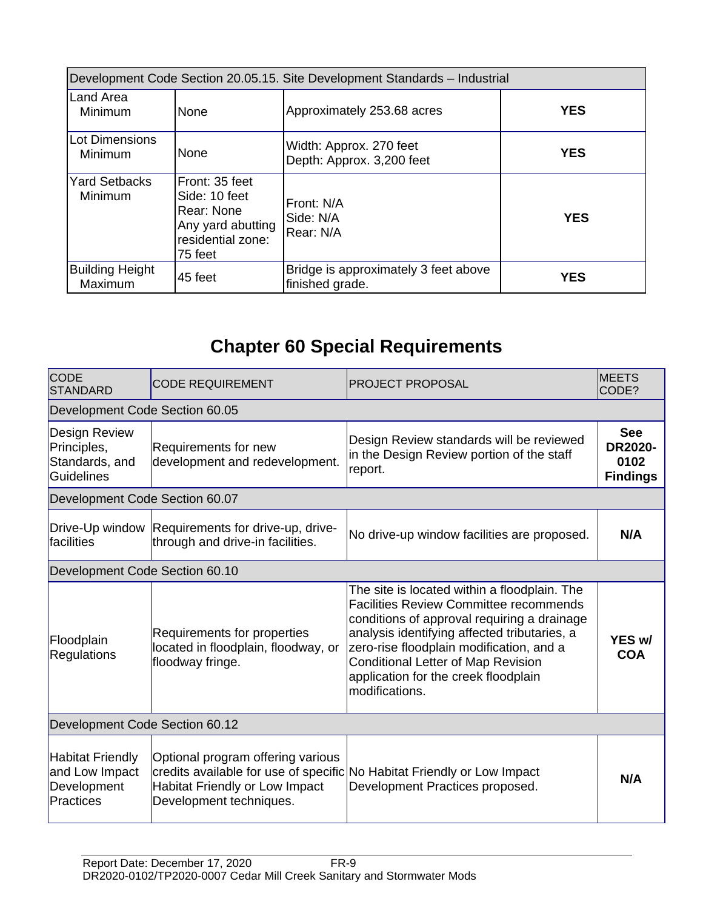| Development Code Section 20.05.15. Site Development Standards - Industrial |                                                                                                    |                                                         |            |
|----------------------------------------------------------------------------|----------------------------------------------------------------------------------------------------|---------------------------------------------------------|------------|
| lLand Area<br>Minimum                                                      | None                                                                                               | Approximately 253.68 acres                              | <b>YES</b> |
| l Lot Dimensions<br>Minimum                                                | None                                                                                               | Width: Approx. 270 feet<br>Depth: Approx. 3,200 feet    | <b>YES</b> |
| <b>Yard Setbacks</b><br>Minimum                                            | Front: 35 feet<br>Side: 10 feet<br>Rear: None<br>Any yard abutting<br>residential zone:<br>75 feet | Front: N/A<br>Side: N/A<br>Rear: N/A                    | <b>YES</b> |
| <b>Building Height</b><br>Maximum                                          | 45 feet                                                                                            | Bridge is approximately 3 feet above<br>finished grade. | <b>YES</b> |

# **Chapter 60 Special Requirements**

| <b>CODE</b><br><b>STANDARD</b>                                               | <b>CODE REQUIREMENT</b>                                                                        | PROJECT PROPOSAL                                                                                                                                                                                                                                                                                                                                | <b>MEETS</b><br>CODE?                                   |  |
|------------------------------------------------------------------------------|------------------------------------------------------------------------------------------------|-------------------------------------------------------------------------------------------------------------------------------------------------------------------------------------------------------------------------------------------------------------------------------------------------------------------------------------------------|---------------------------------------------------------|--|
| Development Code Section 60.05                                               |                                                                                                |                                                                                                                                                                                                                                                                                                                                                 |                                                         |  |
| <b>Design Review</b><br>Principles,<br>Standards, and<br><b>Guidelines</b>   | Requirements for new<br>development and redevelopment.                                         | Design Review standards will be reviewed<br>in the Design Review portion of the staff<br>report.                                                                                                                                                                                                                                                | <b>See</b><br><b>DR2020-</b><br>0102<br><b>Findings</b> |  |
| Development Code Section 60.07                                               |                                                                                                |                                                                                                                                                                                                                                                                                                                                                 |                                                         |  |
| Drive-Up window<br><i>facilities</i>                                         | Requirements for drive-up, drive-<br>through and drive-in facilities.                          | No drive-up window facilities are proposed.                                                                                                                                                                                                                                                                                                     | N/A                                                     |  |
| Development Code Section 60.10                                               |                                                                                                |                                                                                                                                                                                                                                                                                                                                                 |                                                         |  |
| Floodplain<br><b>Regulations</b>                                             | Requirements for properties<br>located in floodplain, floodway, or<br>floodway fringe.         | The site is located within a floodplain. The<br><b>Facilities Review Committee recommends</b><br>conditions of approval requiring a drainage<br>analysis identifying affected tributaries, a<br>zero-rise floodplain modification, and a<br><b>Conditional Letter of Map Revision</b><br>application for the creek floodplain<br>modifications. | YES w/<br><b>COA</b>                                    |  |
| Development Code Section 60.12                                               |                                                                                                |                                                                                                                                                                                                                                                                                                                                                 |                                                         |  |
| <b>Habitat Friendly</b><br>and Low Impact<br>Development<br><b>Practices</b> | Optional program offering various<br>Habitat Friendly or Low Impact<br>Development techniques. | credits available for use of specific No Habitat Friendly or Low Impact<br>Development Practices proposed.                                                                                                                                                                                                                                      | N/A                                                     |  |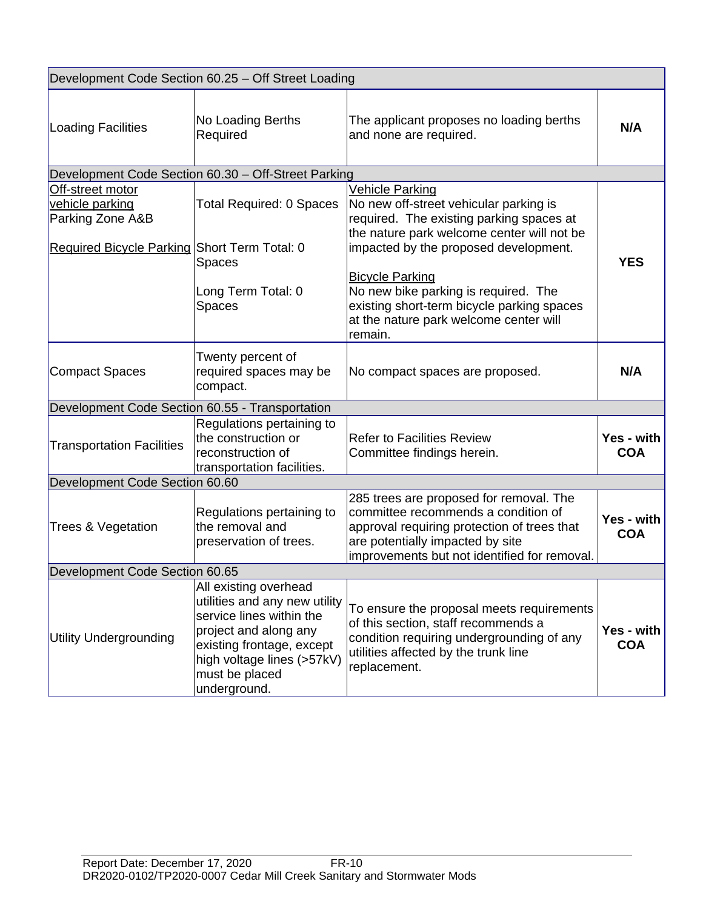|                                                         | Development Code Section 60.25 - Off Street Loading                                                                                                                                                      |                                                                                                                                                                                                                   |                                 |  |
|---------------------------------------------------------|----------------------------------------------------------------------------------------------------------------------------------------------------------------------------------------------------------|-------------------------------------------------------------------------------------------------------------------------------------------------------------------------------------------------------------------|---------------------------------|--|
| Loading Facilities                                      | No Loading Berths<br>Required                                                                                                                                                                            | The applicant proposes no loading berths<br>and none are required.                                                                                                                                                | N/A                             |  |
|                                                         | Development Code Section 60.30 - Off-Street Parking                                                                                                                                                      |                                                                                                                                                                                                                   |                                 |  |
| Off-street motor<br>vehicle parking<br>Parking Zone A&B | <b>Total Required: 0 Spaces</b>                                                                                                                                                                          | <b>Vehicle Parking</b><br>No new off-street vehicular parking is<br>required. The existing parking spaces at<br>the nature park welcome center will not be                                                        |                                 |  |
| Required Bicycle Parking Short Term Total: 0            | Spaces                                                                                                                                                                                                   | impacted by the proposed development.<br><b>Bicycle Parking</b>                                                                                                                                                   | <b>YES</b>                      |  |
|                                                         | Long Term Total: 0<br>Spaces                                                                                                                                                                             | No new bike parking is required. The<br>existing short-term bicycle parking spaces<br>at the nature park welcome center will<br>remain.                                                                           |                                 |  |
| Compact Spaces                                          | Twenty percent of<br>required spaces may be<br>compact.                                                                                                                                                  | No compact spaces are proposed.                                                                                                                                                                                   | N/A                             |  |
| Development Code Section 60.55 - Transportation         |                                                                                                                                                                                                          |                                                                                                                                                                                                                   |                                 |  |
| <b>Transportation Facilities</b>                        | Regulations pertaining to<br>the construction or<br>reconstruction of<br>transportation facilities.                                                                                                      | <b>Refer to Facilities Review</b><br>Committee findings herein.                                                                                                                                                   | <b>Yes - with</b><br><b>COA</b> |  |
| Development Code Section 60.60                          |                                                                                                                                                                                                          |                                                                                                                                                                                                                   |                                 |  |
| <b>Trees &amp; Vegetation</b>                           | Regulations pertaining to<br>the removal and<br>preservation of trees.                                                                                                                                   | 285 trees are proposed for removal. The<br>committee recommends a condition of<br>approval requiring protection of trees that<br>are potentially impacted by site<br>improvements but not identified for removal. | Yes - with<br><b>COA</b>        |  |
| Development Code Section 60.65                          |                                                                                                                                                                                                          |                                                                                                                                                                                                                   |                                 |  |
| <b>Utility Undergrounding</b>                           | All existing overhead<br>utilities and any new utility<br>service lines within the<br>project and along any<br>existing frontage, except<br>high voltage lines (>57kV)<br>must be placed<br>underground. | To ensure the proposal meets requirements<br>of this section, staff recommends a<br>condition requiring undergrounding of any<br>utilities affected by the trunk line<br>replacement.                             | Yes - with<br><b>COA</b>        |  |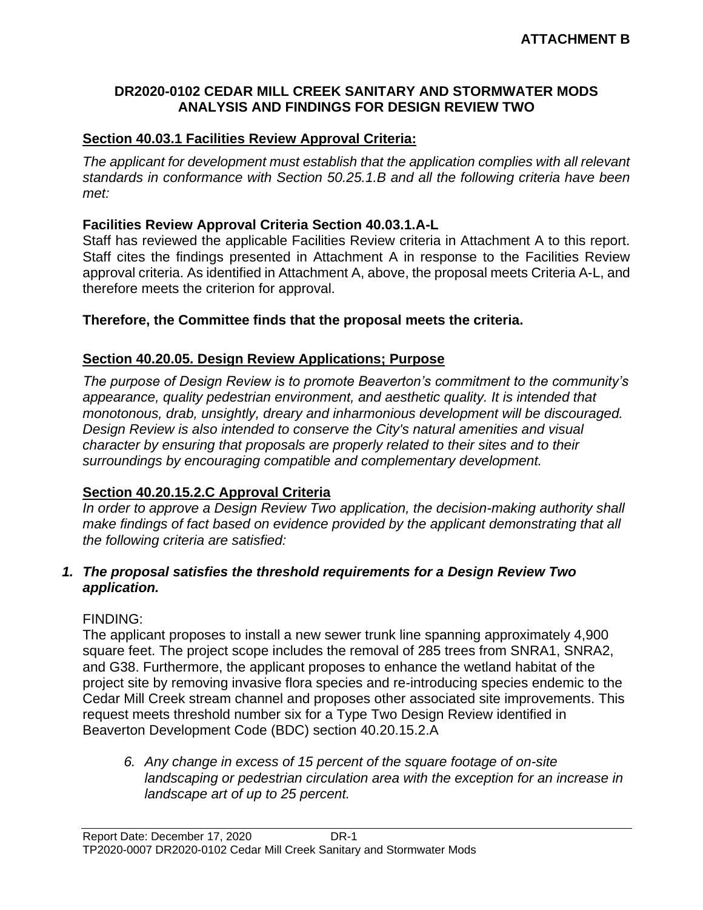#### **DR2020-0102 CEDAR MILL CREEK SANITARY AND STORMWATER MODS ANALYSIS AND FINDINGS FOR DESIGN REVIEW TWO**

#### **Section 40.03.1 Facilities Review Approval Criteria:**

*The applicant for development must establish that the application complies with all relevant standards in conformance with Section 50.25.1.B and all the following criteria have been met:* 

#### **Facilities Review Approval Criteria Section 40.03.1.A-L**

Staff has reviewed the applicable Facilities Review criteria in Attachment A to this report. Staff cites the findings presented in Attachment A in response to the Facilities Review approval criteria. As identified in Attachment A, above, the proposal meets Criteria A-L, and therefore meets the criterion for approval.

#### **Therefore, the Committee finds that the proposal meets the criteria.**

#### **Section 40.20.05. Design Review Applications; Purpose**

*The purpose of Design Review is to promote Beaverton's commitment to the community's appearance, quality pedestrian environment, and aesthetic quality. It is intended that monotonous, drab, unsightly, dreary and inharmonious development will be discouraged. Design Review is also intended to conserve the City's natural amenities and visual character by ensuring that proposals are properly related to their sites and to their surroundings by encouraging compatible and complementary development.*

## **Section 40.20.15.2.C Approval Criteria**

*In order to approve a Design Review Two application, the decision-making authority shall make findings of fact based on evidence provided by the applicant demonstrating that all the following criteria are satisfied:*

#### *1. The proposal satisfies the threshold requirements for a Design Review Two application.*

#### FINDING:

The applicant proposes to install a new sewer trunk line spanning approximately 4,900 square feet. The project scope includes the removal of 285 trees from SNRA1, SNRA2, and G38. Furthermore, the applicant proposes to enhance the wetland habitat of the project site by removing invasive flora species and re-introducing species endemic to the Cedar Mill Creek stream channel and proposes other associated site improvements. This request meets threshold number six for a Type Two Design Review identified in Beaverton Development Code (BDC) section 40.20.15.2.A

*6. Any change in excess of 15 percent of the square footage of on-site landscaping or pedestrian circulation area with the exception for an increase in landscape art of up to 25 percent.*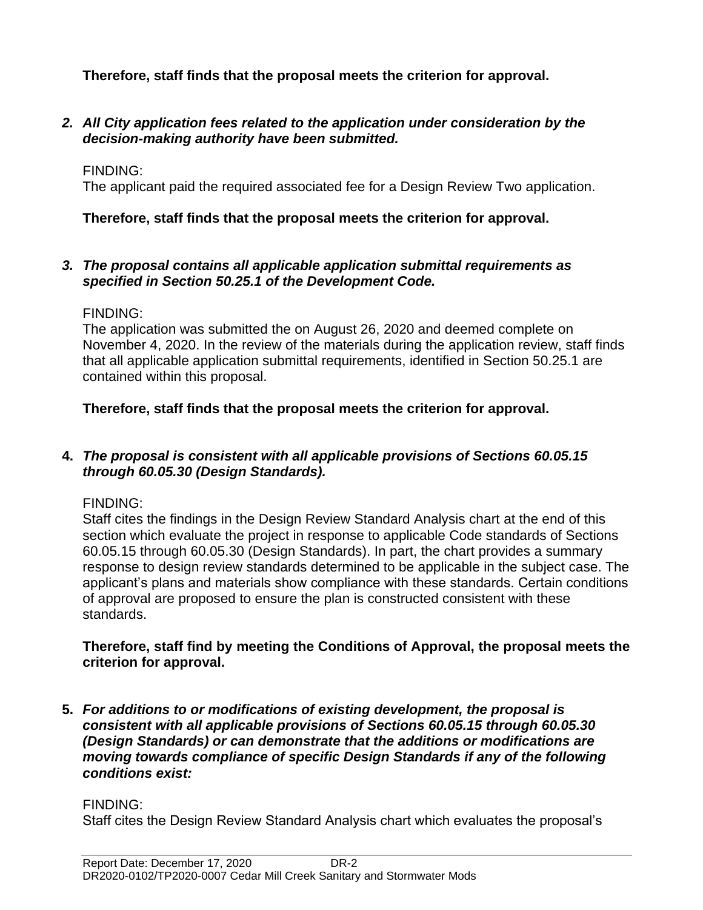**Therefore, staff finds that the proposal meets the criterion for approval.**

*2. All City application fees related to the application under consideration by the decision-making authority have been submitted.*

## FINDING:

The applicant paid the required associated fee for a Design Review Two application.

## **Therefore, staff finds that the proposal meets the criterion for approval.**

#### *3. The proposal contains all applicable application submittal requirements as specified in Section 50.25.1 of the Development Code.*

## FINDING:

The application was submitted the on August 26, 2020 and deemed complete on November 4, 2020. In the review of the materials during the application review, staff finds that all applicable application submittal requirements, identified in Section 50.25.1 are contained within this proposal.

## **Therefore, staff finds that the proposal meets the criterion for approval.**

## **4.** *The proposal is consistent with all applicable provisions of Sections 60.05.15 through 60.05.30 (Design Standards).*

## FINDING:

Staff cites the findings in the Design Review Standard Analysis chart at the end of this section which evaluate the project in response to applicable Code standards of Sections 60.05.15 through 60.05.30 (Design Standards). In part, the chart provides a summary response to design review standards determined to be applicable in the subject case. The applicant's plans and materials show compliance with these standards. Certain conditions of approval are proposed to ensure the plan is constructed consistent with these standards.

#### **Therefore, staff find by meeting the Conditions of Approval, the proposal meets the criterion for approval.**

**5.** *For additions to or modifications of existing development, the proposal is consistent with all applicable provisions of Sections 60.05.15 through 60.05.30 (Design Standards) or can demonstrate that the additions or modifications are moving towards compliance of specific Design Standards if any of the following conditions exist:*

## FINDING:

Staff cites the Design Review Standard Analysis chart which evaluates the proposal's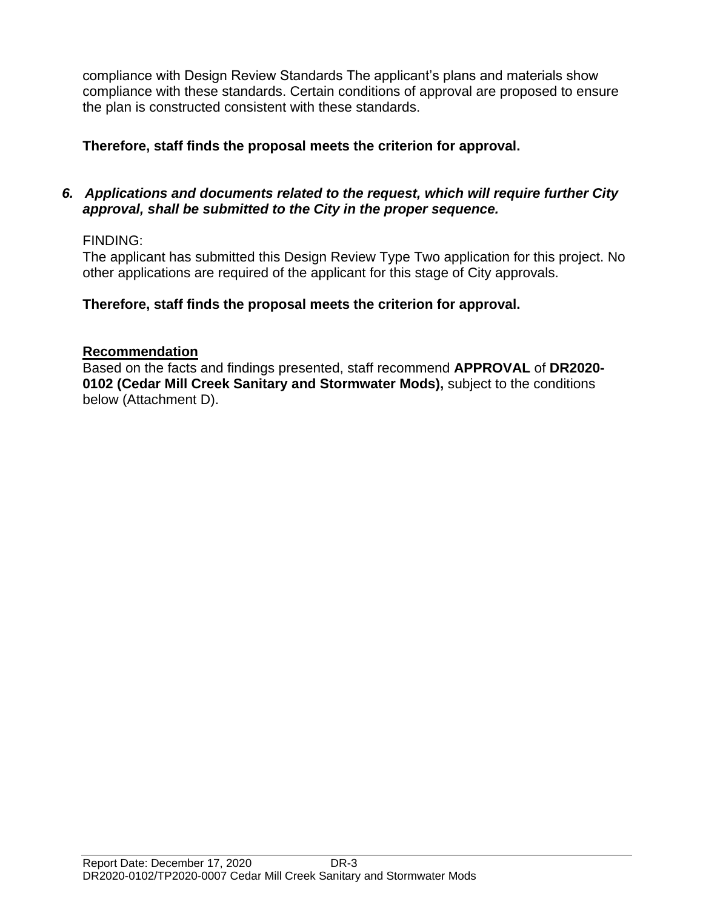compliance with Design Review Standards The applicant's plans and materials show compliance with these standards. Certain conditions of approval are proposed to ensure the plan is constructed consistent with these standards.

# **Therefore, staff finds the proposal meets the criterion for approval.**

#### *6. Applications and documents related to the request, which will require further City approval, shall be submitted to the City in the proper sequence.*

## FINDING:

The applicant has submitted this Design Review Type Two application for this project. No other applications are required of the applicant for this stage of City approvals.

## **Therefore, staff finds the proposal meets the criterion for approval.**

## **Recommendation**

Based on the facts and findings presented, staff recommend **APPROVAL** of **DR2020- 0102 (Cedar Mill Creek Sanitary and Stormwater Mods),** subject to the conditions below (Attachment D).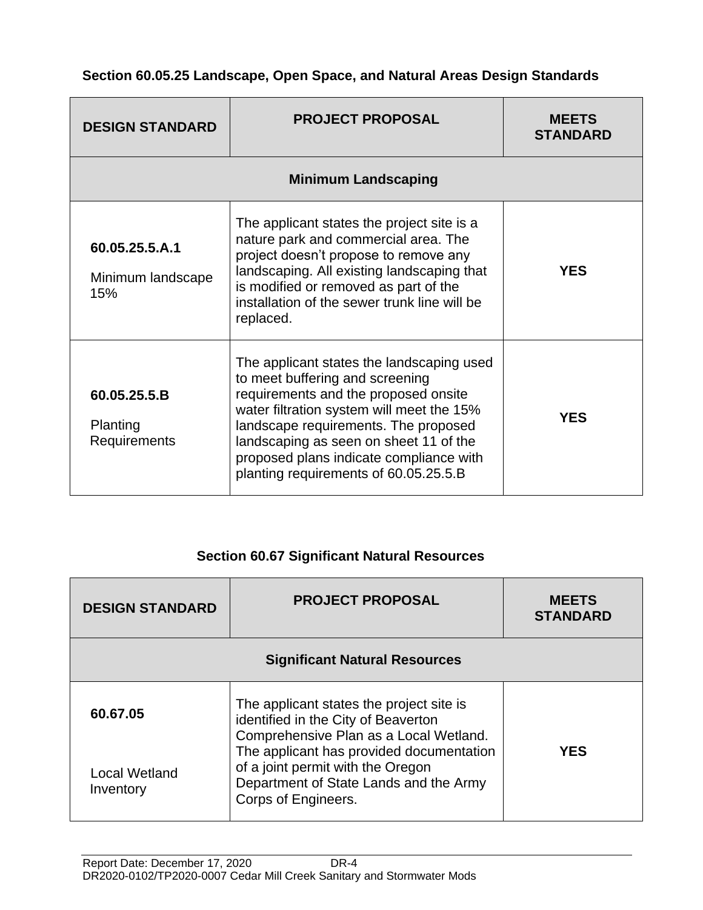## **Section 60.05.25 Landscape, Open Space, and Natural Areas Design Standards**

| <b>DESIGN STANDARD</b>                     | <b>PROJECT PROPOSAL</b>                                                                                                                                                                                                                                                                                                                 | <b>MEETS</b><br><b>STANDARD</b> |  |
|--------------------------------------------|-----------------------------------------------------------------------------------------------------------------------------------------------------------------------------------------------------------------------------------------------------------------------------------------------------------------------------------------|---------------------------------|--|
|                                            | <b>Minimum Landscaping</b>                                                                                                                                                                                                                                                                                                              |                                 |  |
| 60.05.25.5.A.1<br>Minimum landscape<br>15% | The applicant states the project site is a<br>nature park and commercial area. The<br>project doesn't propose to remove any<br>landscaping. All existing landscaping that<br>is modified or removed as part of the<br>installation of the sewer trunk line will be<br>replaced.                                                         | <b>YES</b>                      |  |
| 60.05.25.5.B<br>Planting<br>Requirements   | The applicant states the landscaping used<br>to meet buffering and screening<br>requirements and the proposed onsite<br>water filtration system will meet the 15%<br>landscape requirements. The proposed<br>landscaping as seen on sheet 11 of the<br>proposed plans indicate compliance with<br>planting requirements of 60.05.25.5.B | <b>YES</b>                      |  |

## **Section 60.67 Significant Natural Resources**

| <b>PROJECT PROPOSAL</b><br><b>DESIGN STANDARD</b> |                                                                                                                                                | <b>MEETS</b><br><b>STANDARD</b> |
|---------------------------------------------------|------------------------------------------------------------------------------------------------------------------------------------------------|---------------------------------|
|                                                   | <b>Significant Natural Resources</b>                                                                                                           |                                 |
| 60.67.05                                          | The applicant states the project site is<br>identified in the City of Beaverton<br>Comprehensive Plan as a Local Wetland.                      |                                 |
| <b>Local Wetland</b><br>Inventory                 | The applicant has provided documentation<br>of a joint permit with the Oregon<br>Department of State Lands and the Army<br>Corps of Engineers. | YES                             |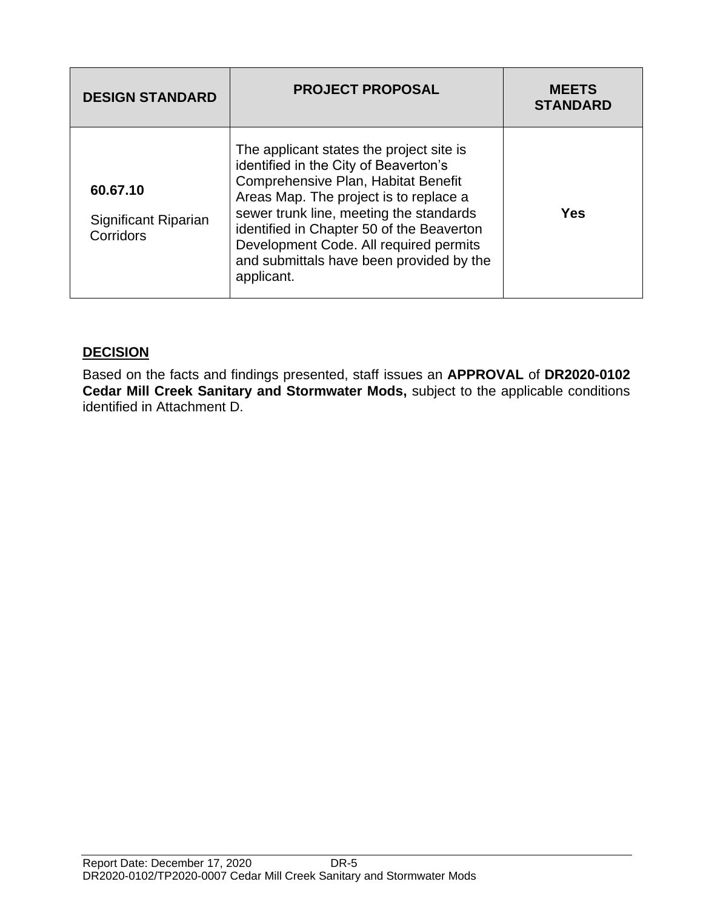| <b>DESIGN STANDARD</b>                        | <b>PROJECT PROPOSAL</b>                                                                                                                                                                                                                                                                                                                                        | <b>MEETS</b><br><b>STANDARD</b> |
|-----------------------------------------------|----------------------------------------------------------------------------------------------------------------------------------------------------------------------------------------------------------------------------------------------------------------------------------------------------------------------------------------------------------------|---------------------------------|
| 60.67.10<br>Significant Riparian<br>Corridors | The applicant states the project site is<br>identified in the City of Beaverton's<br>Comprehensive Plan, Habitat Benefit<br>Areas Map. The project is to replace a<br>sewer trunk line, meeting the standards<br>identified in Chapter 50 of the Beaverton<br>Development Code. All required permits<br>and submittals have been provided by the<br>applicant. | Yes                             |

# **DECISION**

Based on the facts and findings presented, staff issues an **APPROVAL** of **DR2020-0102 Cedar Mill Creek Sanitary and Stormwater Mods,** subject to the applicable conditions identified in Attachment D.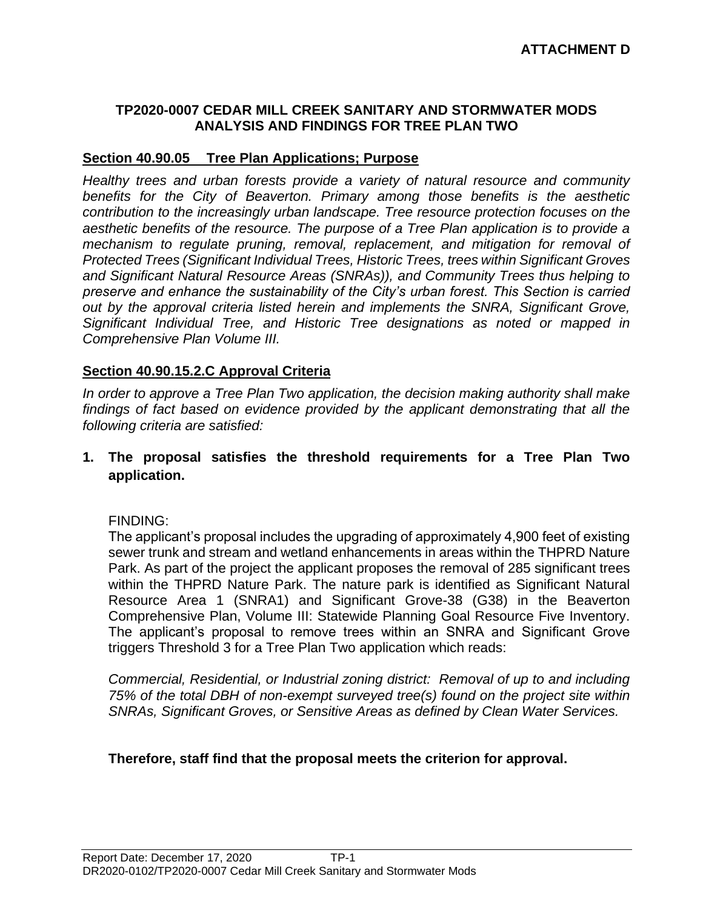#### **TP2020-0007 CEDAR MILL CREEK SANITARY AND STORMWATER MODS ANALYSIS AND FINDINGS FOR TREE PLAN TWO**

#### **Section 40.90.05 Tree Plan Applications; Purpose**

*Healthy trees and urban forests provide a variety of natural resource and community benefits for the City of Beaverton. Primary among those benefits is the aesthetic contribution to the increasingly urban landscape. Tree resource protection focuses on the aesthetic benefits of the resource. The purpose of a Tree Plan application is to provide a mechanism to regulate pruning, removal, replacement, and mitigation for removal of Protected Trees (Significant Individual Trees, Historic Trees, trees within Significant Groves and Significant Natural Resource Areas (SNRAs)), and Community Trees thus helping to preserve and enhance the sustainability of the City's urban forest. This Section is carried out by the approval criteria listed herein and implements the SNRA, Significant Grove, Significant Individual Tree, and Historic Tree designations as noted or mapped in Comprehensive Plan Volume III.*

#### **Section 40.90.15.2.C Approval Criteria**

*In order to approve a Tree Plan Two application, the decision making authority shall make findings of fact based on evidence provided by the applicant demonstrating that all the following criteria are satisfied:*

## **1. The proposal satisfies the threshold requirements for a Tree Plan Two application.**

#### FINDING:

The applicant's proposal includes the upgrading of approximately 4,900 feet of existing sewer trunk and stream and wetland enhancements in areas within the THPRD Nature Park. As part of the project the applicant proposes the removal of 285 significant trees within the THPRD Nature Park. The nature park is identified as Significant Natural Resource Area 1 (SNRA1) and Significant Grove-38 (G38) in the Beaverton Comprehensive Plan, Volume III: Statewide Planning Goal Resource Five Inventory. The applicant's proposal to remove trees within an SNRA and Significant Grove triggers Threshold 3 for a Tree Plan Two application which reads:

*Commercial, Residential, or Industrial zoning district: Removal of up to and including 75% of the total DBH of non-exempt surveyed tree(s) found on the project site within SNRAs, Significant Groves, or Sensitive Areas as defined by Clean Water Services.*

## **Therefore, staff find that the proposal meets the criterion for approval.**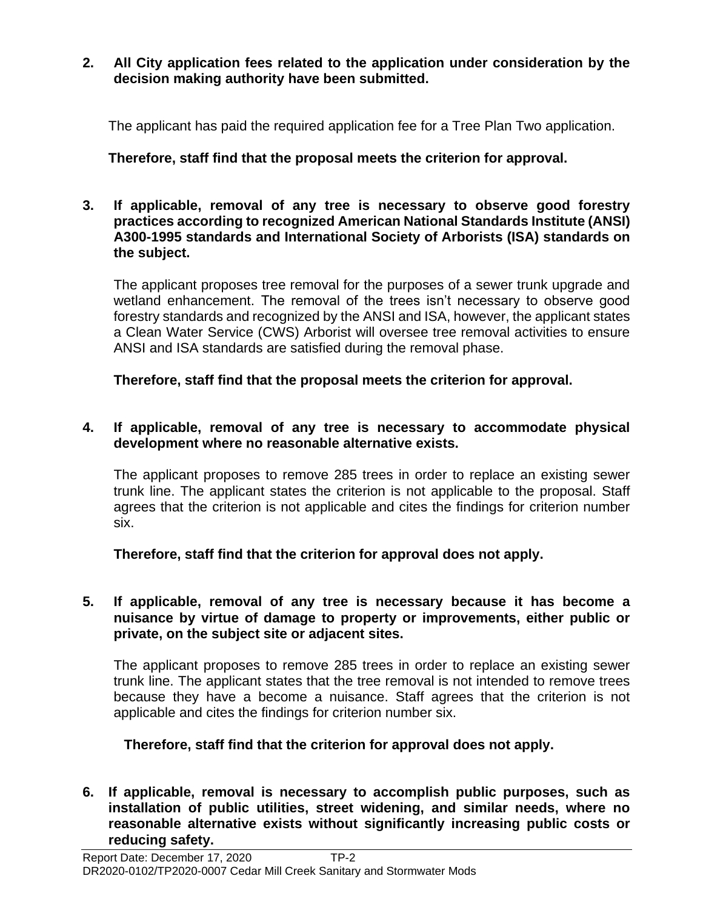#### **2. All City application fees related to the application under consideration by the decision making authority have been submitted.**

The applicant has paid the required application fee for a Tree Plan Two application.

**Therefore, staff find that the proposal meets the criterion for approval.**

**3. If applicable, removal of any tree is necessary to observe good forestry practices according to recognized American National Standards Institute (ANSI) A300-1995 standards and International Society of Arborists (ISA) standards on the subject.**

The applicant proposes tree removal for the purposes of a sewer trunk upgrade and wetland enhancement. The removal of the trees isn't necessary to observe good forestry standards and recognized by the ANSI and ISA, however, the applicant states a Clean Water Service (CWS) Arborist will oversee tree removal activities to ensure ANSI and ISA standards are satisfied during the removal phase.

**Therefore, staff find that the proposal meets the criterion for approval.**

# **4. If applicable, removal of any tree is necessary to accommodate physical development where no reasonable alternative exists.**

The applicant proposes to remove 285 trees in order to replace an existing sewer trunk line. The applicant states the criterion is not applicable to the proposal. Staff agrees that the criterion is not applicable and cites the findings for criterion number six.

**Therefore, staff find that the criterion for approval does not apply.**

## **5. If applicable, removal of any tree is necessary because it has become a nuisance by virtue of damage to property or improvements, either public or private, on the subject site or adjacent sites.**

The applicant proposes to remove 285 trees in order to replace an existing sewer trunk line. The applicant states that the tree removal is not intended to remove trees because they have a become a nuisance. Staff agrees that the criterion is not applicable and cites the findings for criterion number six.

**Therefore, staff find that the criterion for approval does not apply.**

**6. If applicable, removal is necessary to accomplish public purposes, such as installation of public utilities, street widening, and similar needs, where no reasonable alternative exists without significantly increasing public costs or reducing safety.**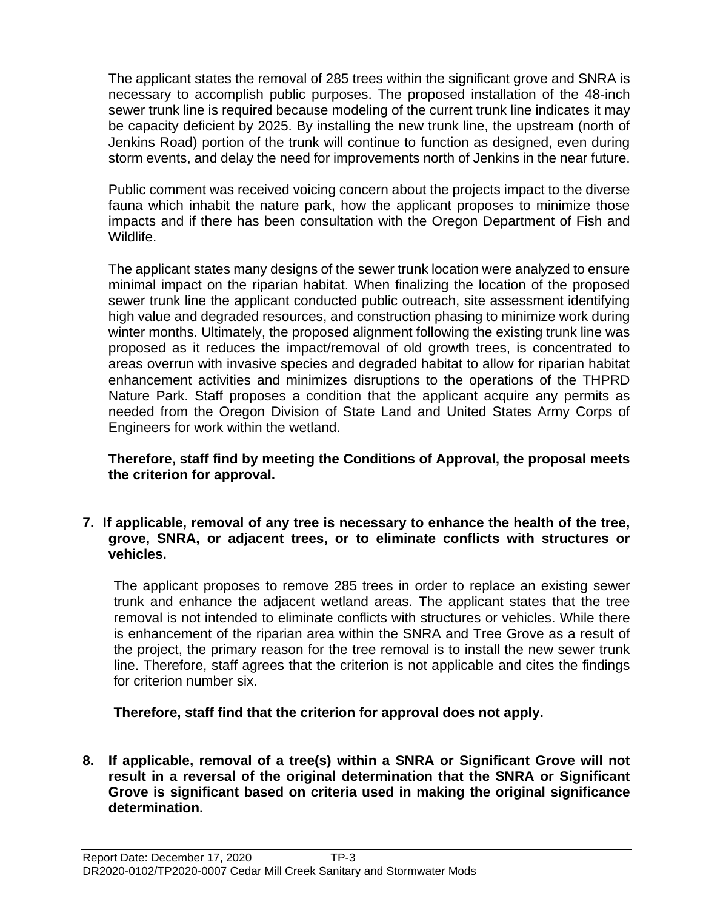The applicant states the removal of 285 trees within the significant grove and SNRA is necessary to accomplish public purposes. The proposed installation of the 48-inch sewer trunk line is required because modeling of the current trunk line indicates it may be capacity deficient by 2025. By installing the new trunk line, the upstream (north of Jenkins Road) portion of the trunk will continue to function as designed, even during storm events, and delay the need for improvements north of Jenkins in the near future.

Public comment was received voicing concern about the projects impact to the diverse fauna which inhabit the nature park, how the applicant proposes to minimize those impacts and if there has been consultation with the Oregon Department of Fish and Wildlife.

The applicant states many designs of the sewer trunk location were analyzed to ensure minimal impact on the riparian habitat. When finalizing the location of the proposed sewer trunk line the applicant conducted public outreach, site assessment identifying high value and degraded resources, and construction phasing to minimize work during winter months. Ultimately, the proposed alignment following the existing trunk line was proposed as it reduces the impact/removal of old growth trees, is concentrated to areas overrun with invasive species and degraded habitat to allow for riparian habitat enhancement activities and minimizes disruptions to the operations of the THPRD Nature Park. Staff proposes a condition that the applicant acquire any permits as needed from the Oregon Division of State Land and United States Army Corps of Engineers for work within the wetland.

**Therefore, staff find by meeting the Conditions of Approval, the proposal meets the criterion for approval.**

**7. If applicable, removal of any tree is necessary to enhance the health of the tree, grove, SNRA, or adjacent trees, or to eliminate conflicts with structures or vehicles.**

The applicant proposes to remove 285 trees in order to replace an existing sewer trunk and enhance the adjacent wetland areas. The applicant states that the tree removal is not intended to eliminate conflicts with structures or vehicles. While there is enhancement of the riparian area within the SNRA and Tree Grove as a result of the project, the primary reason for the tree removal is to install the new sewer trunk line. Therefore, staff agrees that the criterion is not applicable and cites the findings for criterion number six.

**Therefore, staff find that the criterion for approval does not apply.**

**8. If applicable, removal of a tree(s) within a SNRA or Significant Grove will not result in a reversal of the original determination that the SNRA or Significant Grove is significant based on criteria used in making the original significance determination.**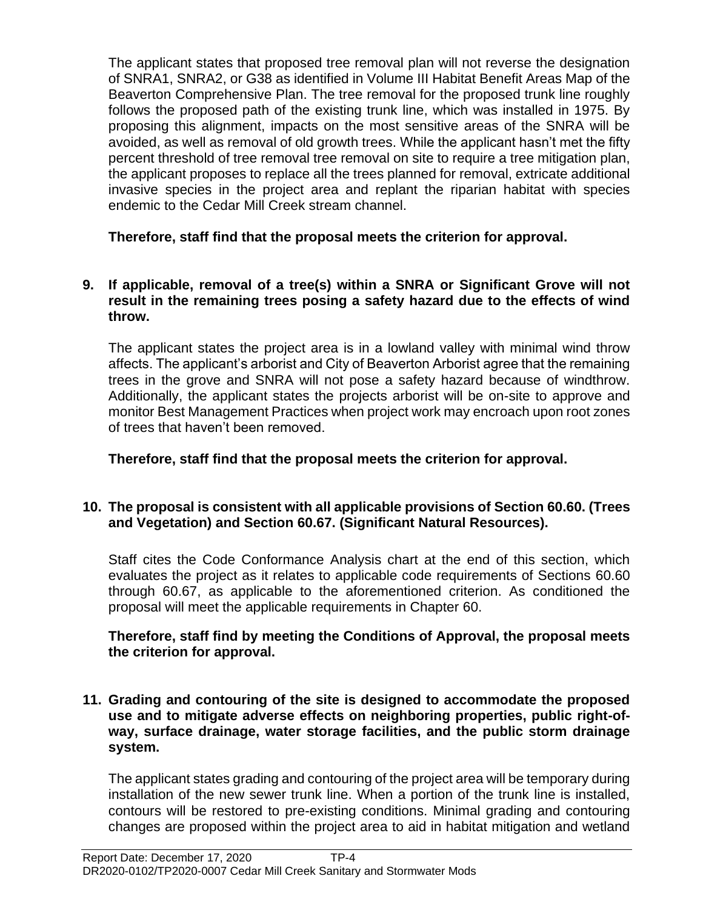The applicant states that proposed tree removal plan will not reverse the designation of SNRA1, SNRA2, or G38 as identified in Volume III Habitat Benefit Areas Map of the Beaverton Comprehensive Plan. The tree removal for the proposed trunk line roughly follows the proposed path of the existing trunk line, which was installed in 1975. By proposing this alignment, impacts on the most sensitive areas of the SNRA will be avoided, as well as removal of old growth trees. While the applicant hasn't met the fifty percent threshold of tree removal tree removal on site to require a tree mitigation plan, the applicant proposes to replace all the trees planned for removal, extricate additional invasive species in the project area and replant the riparian habitat with species endemic to the Cedar Mill Creek stream channel.

**Therefore, staff find that the proposal meets the criterion for approval.**

#### **9. If applicable, removal of a tree(s) within a SNRA or Significant Grove will not result in the remaining trees posing a safety hazard due to the effects of wind throw.**

The applicant states the project area is in a lowland valley with minimal wind throw affects. The applicant's arborist and City of Beaverton Arborist agree that the remaining trees in the grove and SNRA will not pose a safety hazard because of windthrow. Additionally, the applicant states the projects arborist will be on-site to approve and monitor Best Management Practices when project work may encroach upon root zones of trees that haven't been removed.

**Therefore, staff find that the proposal meets the criterion for approval.**

# **10. The proposal is consistent with all applicable provisions of Section 60.60. (Trees and Vegetation) and Section 60.67. (Significant Natural Resources).**

Staff cites the Code Conformance Analysis chart at the end of this section, which evaluates the project as it relates to applicable code requirements of Sections 60.60 through 60.67, as applicable to the aforementioned criterion. As conditioned the proposal will meet the applicable requirements in Chapter 60.

#### **Therefore, staff find by meeting the Conditions of Approval, the proposal meets the criterion for approval.**

**11. Grading and contouring of the site is designed to accommodate the proposed use and to mitigate adverse effects on neighboring properties, public right-ofway, surface drainage, water storage facilities, and the public storm drainage system.**

The applicant states grading and contouring of the project area will be temporary during installation of the new sewer trunk line. When a portion of the trunk line is installed, contours will be restored to pre-existing conditions. Minimal grading and contouring changes are proposed within the project area to aid in habitat mitigation and wetland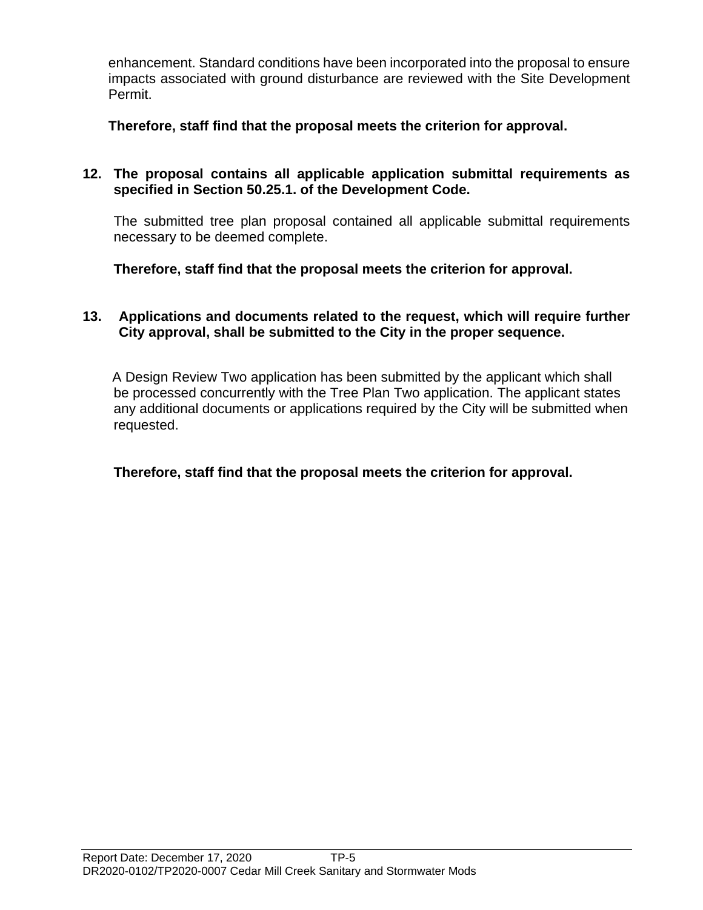enhancement. Standard conditions have been incorporated into the proposal to ensure impacts associated with ground disturbance are reviewed with the Site Development Permit.

**Therefore, staff find that the proposal meets the criterion for approval.**

## **12. The proposal contains all applicable application submittal requirements as specified in Section 50.25.1. of the Development Code.**

The submitted tree plan proposal contained all applicable submittal requirements necessary to be deemed complete.

**Therefore, staff find that the proposal meets the criterion for approval.**

#### **13. Applications and documents related to the request, which will require further City approval, shall be submitted to the City in the proper sequence.**

A Design Review Two application has been submitted by the applicant which shall be processed concurrently with the Tree Plan Two application. The applicant states any additional documents or applications required by the City will be submitted when requested.

## **Therefore, staff find that the proposal meets the criterion for approval.**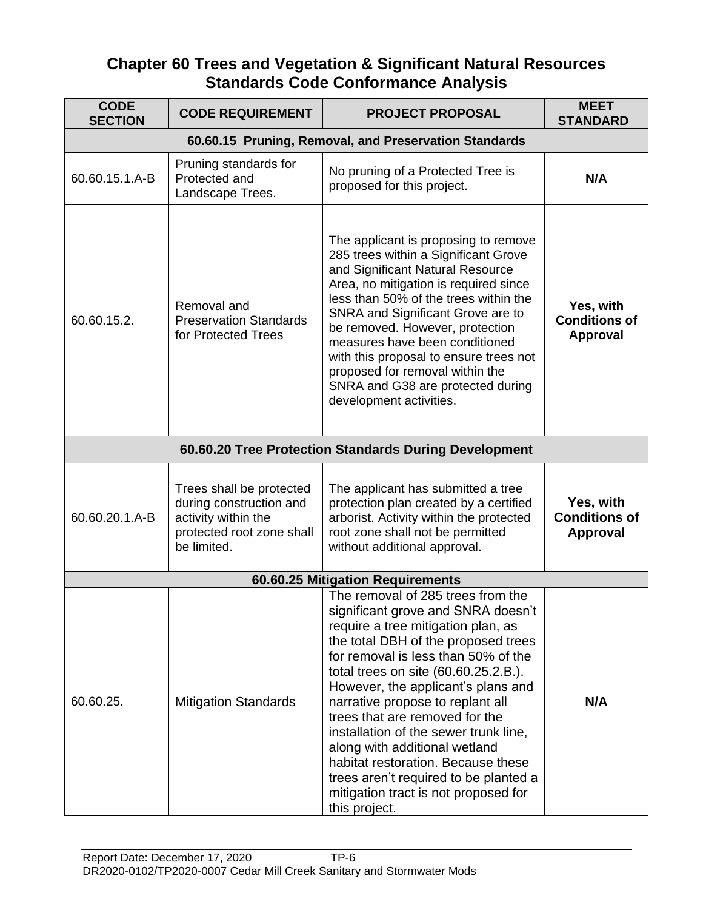# **Chapter 60 Trees and Vegetation & Significant Natural Resources Standards Code Conformance Analysis**

| <b>CODE</b><br><b>SECTION</b> | <b>CODE REQUIREMENT</b>                                                                                                | <b>PROJECT PROPOSAL</b>                                                                                                                                                                                                                                                                                                                                                                                                                                                                                                                                           | <b>MEET</b><br><b>STANDARD</b>                       |
|-------------------------------|------------------------------------------------------------------------------------------------------------------------|-------------------------------------------------------------------------------------------------------------------------------------------------------------------------------------------------------------------------------------------------------------------------------------------------------------------------------------------------------------------------------------------------------------------------------------------------------------------------------------------------------------------------------------------------------------------|------------------------------------------------------|
|                               |                                                                                                                        | 60.60.15 Pruning, Removal, and Preservation Standards                                                                                                                                                                                                                                                                                                                                                                                                                                                                                                             |                                                      |
| 60.60.15.1.A-B                | Pruning standards for<br>Protected and<br>Landscape Trees.                                                             | No pruning of a Protected Tree is<br>proposed for this project.                                                                                                                                                                                                                                                                                                                                                                                                                                                                                                   | N/A                                                  |
| 60.60.15.2.                   | Removal and<br><b>Preservation Standards</b><br>for Protected Trees                                                    | The applicant is proposing to remove<br>285 trees within a Significant Grove<br>and Significant Natural Resource<br>Area, no mitigation is required since<br>less than 50% of the trees within the<br>SNRA and Significant Grove are to<br>be removed. However, protection<br>measures have been conditioned<br>with this proposal to ensure trees not<br>proposed for removal within the<br>SNRA and G38 are protected during<br>development activities.                                                                                                         | Yes, with<br><b>Conditions of</b><br>Approval        |
|                               |                                                                                                                        | 60.60.20 Tree Protection Standards During Development                                                                                                                                                                                                                                                                                                                                                                                                                                                                                                             |                                                      |
| 60.60.20.1.A-B                | Trees shall be protected<br>during construction and<br>activity within the<br>protected root zone shall<br>be limited. | The applicant has submitted a tree<br>protection plan created by a certified<br>arborist. Activity within the protected<br>root zone shall not be permitted<br>without additional approval.                                                                                                                                                                                                                                                                                                                                                                       | Yes, with<br><b>Conditions of</b><br><b>Approval</b> |
|                               |                                                                                                                        | 60.60.25 Mitigation Requirements                                                                                                                                                                                                                                                                                                                                                                                                                                                                                                                                  |                                                      |
| 60.60.25.                     | <b>Mitigation Standards</b>                                                                                            | The removal of 285 trees from the<br>significant grove and SNRA doesn't<br>require a tree mitigation plan, as<br>the total DBH of the proposed trees<br>for removal is less than 50% of the<br>total trees on site (60.60.25.2.B.).<br>However, the applicant's plans and<br>narrative propose to replant all<br>trees that are removed for the<br>installation of the sewer trunk line,<br>along with additional wetland<br>habitat restoration. Because these<br>trees aren't required to be planted a<br>mitigation tract is not proposed for<br>this project. | N/A                                                  |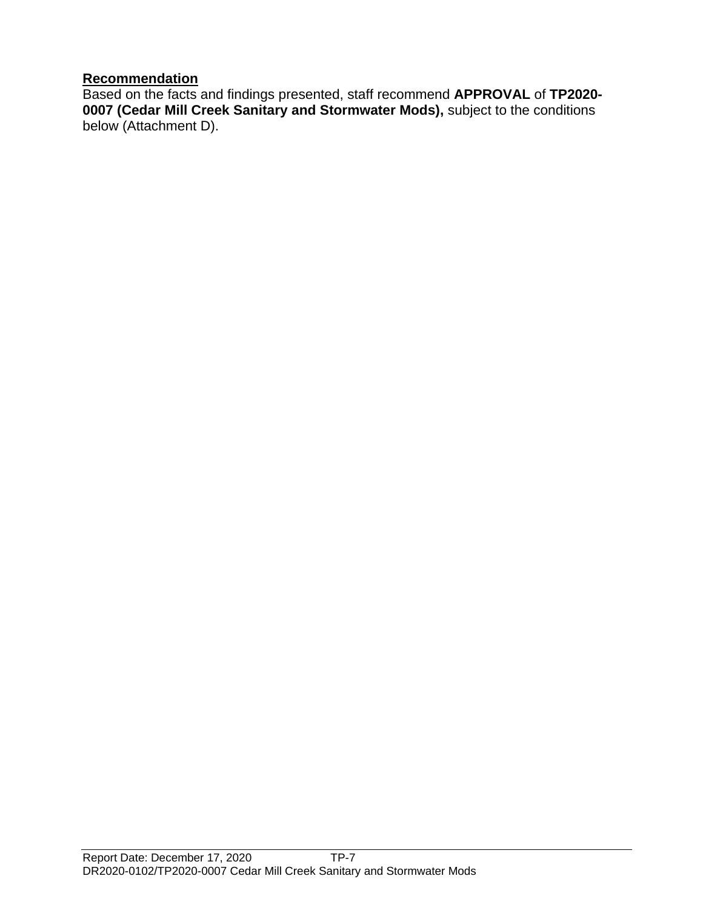## **Recommendation**

Based on the facts and findings presented, staff recommend **APPROVAL** of **TP2020- 0007 (Cedar Mill Creek Sanitary and Stormwater Mods),** subject to the conditions below (Attachment D).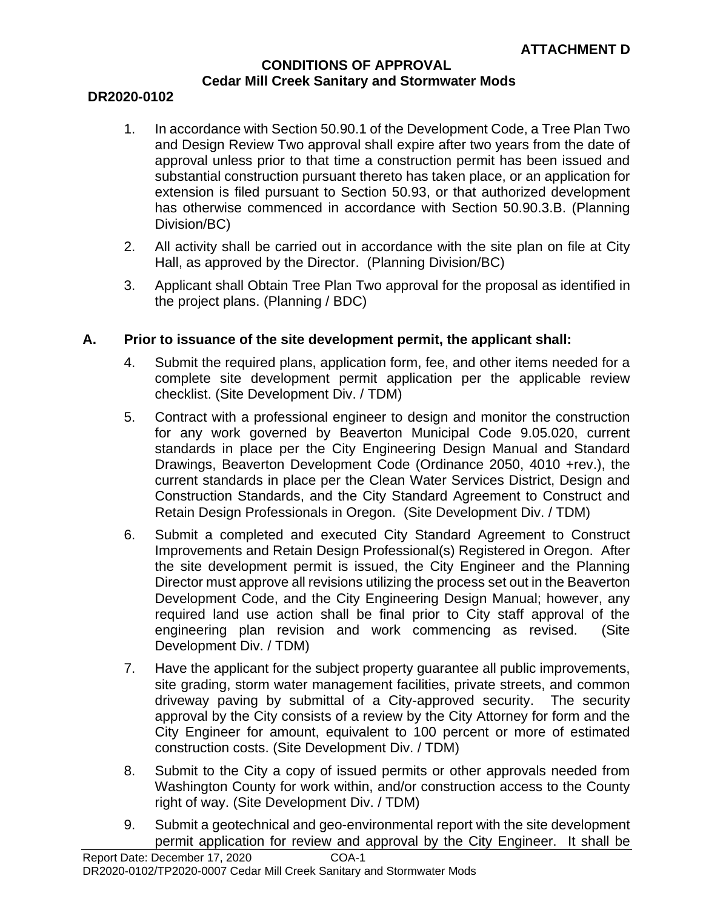#### **CONDITIONS OF APPROVAL Cedar Mill Creek Sanitary and Stormwater Mods**

#### **DR2020-0102**

- 1. In accordance with Section 50.90.1 of the Development Code, a Tree Plan Two and Design Review Two approval shall expire after two years from the date of approval unless prior to that time a construction permit has been issued and substantial construction pursuant thereto has taken place, or an application for extension is filed pursuant to Section 50.93, or that authorized development has otherwise commenced in accordance with Section 50.90.3.B. (Planning Division/BC)
- 2. All activity shall be carried out in accordance with the site plan on file at City Hall, as approved by the Director. (Planning Division/BC)
- 3. Applicant shall Obtain Tree Plan Two approval for the proposal as identified in the project plans. (Planning / BDC)

#### **A. Prior to issuance of the site development permit, the applicant shall:**

- 4. Submit the required plans, application form, fee, and other items needed for a complete site development permit application per the applicable review checklist. (Site Development Div. / TDM)
- 5. Contract with a professional engineer to design and monitor the construction for any work governed by Beaverton Municipal Code 9.05.020, current standards in place per the City Engineering Design Manual and Standard Drawings, Beaverton Development Code (Ordinance 2050, 4010 +rev.), the current standards in place per the Clean Water Services District, Design and Construction Standards, and the City Standard Agreement to Construct and Retain Design Professionals in Oregon. (Site Development Div. / TDM)
- 6. Submit a completed and executed City Standard Agreement to Construct Improvements and Retain Design Professional(s) Registered in Oregon. After the site development permit is issued, the City Engineer and the Planning Director must approve all revisions utilizing the process set out in the Beaverton Development Code, and the City Engineering Design Manual; however, any required land use action shall be final prior to City staff approval of the engineering plan revision and work commencing as revised. (Site Development Div. / TDM)
- 7. Have the applicant for the subject property guarantee all public improvements, site grading, storm water management facilities, private streets, and common driveway paving by submittal of a City-approved security. The security approval by the City consists of a review by the City Attorney for form and the City Engineer for amount, equivalent to 100 percent or more of estimated construction costs. (Site Development Div. / TDM)
- 8. Submit to the City a copy of issued permits or other approvals needed from Washington County for work within, and/or construction access to the County right of way. (Site Development Div. / TDM)
- 9. Submit a geotechnical and geo-environmental report with the site development permit application for review and approval by the City Engineer. It shall be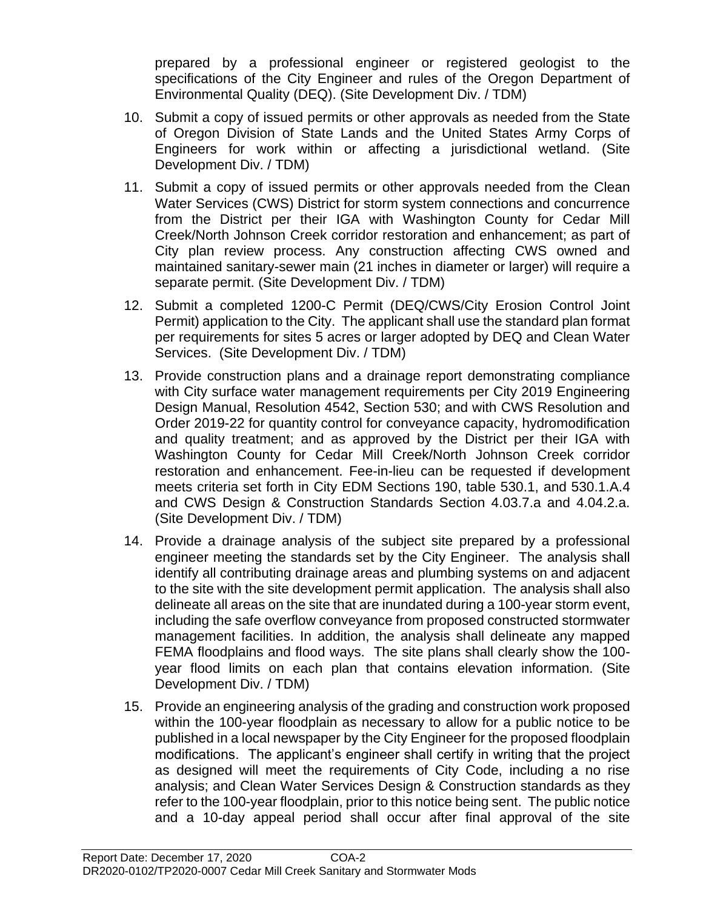prepared by a professional engineer or registered geologist to the specifications of the City Engineer and rules of the Oregon Department of Environmental Quality (DEQ). (Site Development Div. / TDM)

- 10. Submit a copy of issued permits or other approvals as needed from the State of Oregon Division of State Lands and the United States Army Corps of Engineers for work within or affecting a jurisdictional wetland. (Site Development Div. / TDM)
- 11. Submit a copy of issued permits or other approvals needed from the Clean Water Services (CWS) District for storm system connections and concurrence from the District per their IGA with Washington County for Cedar Mill Creek/North Johnson Creek corridor restoration and enhancement; as part of City plan review process. Any construction affecting CWS owned and maintained sanitary-sewer main (21 inches in diameter or larger) will require a separate permit. (Site Development Div. / TDM)
- 12. Submit a completed 1200-C Permit (DEQ/CWS/City Erosion Control Joint Permit) application to the City. The applicant shall use the standard plan format per requirements for sites 5 acres or larger adopted by DEQ and Clean Water Services. (Site Development Div. / TDM)
- 13. Provide construction plans and a drainage report demonstrating compliance with City surface water management requirements per City 2019 Engineering Design Manual, Resolution 4542, Section 530; and with CWS Resolution and Order 2019-22 for quantity control for conveyance capacity, hydromodification and quality treatment; and as approved by the District per their IGA with Washington County for Cedar Mill Creek/North Johnson Creek corridor restoration and enhancement. Fee-in-lieu can be requested if development meets criteria set forth in City EDM Sections 190, table 530.1, and 530.1.A.4 and CWS Design & Construction Standards Section 4.03.7.a and 4.04.2.a. (Site Development Div. / TDM)
- 14. Provide a drainage analysis of the subject site prepared by a professional engineer meeting the standards set by the City Engineer. The analysis shall identify all contributing drainage areas and plumbing systems on and adjacent to the site with the site development permit application. The analysis shall also delineate all areas on the site that are inundated during a 100-year storm event, including the safe overflow conveyance from proposed constructed stormwater management facilities. In addition, the analysis shall delineate any mapped FEMA floodplains and flood ways. The site plans shall clearly show the 100 year flood limits on each plan that contains elevation information. (Site Development Div. / TDM)
- 15. Provide an engineering analysis of the grading and construction work proposed within the 100-year floodplain as necessary to allow for a public notice to be published in a local newspaper by the City Engineer for the proposed floodplain modifications. The applicant's engineer shall certify in writing that the project as designed will meet the requirements of City Code, including a no rise analysis; and Clean Water Services Design & Construction standards as they refer to the 100-year floodplain, prior to this notice being sent. The public notice and a 10-day appeal period shall occur after final approval of the site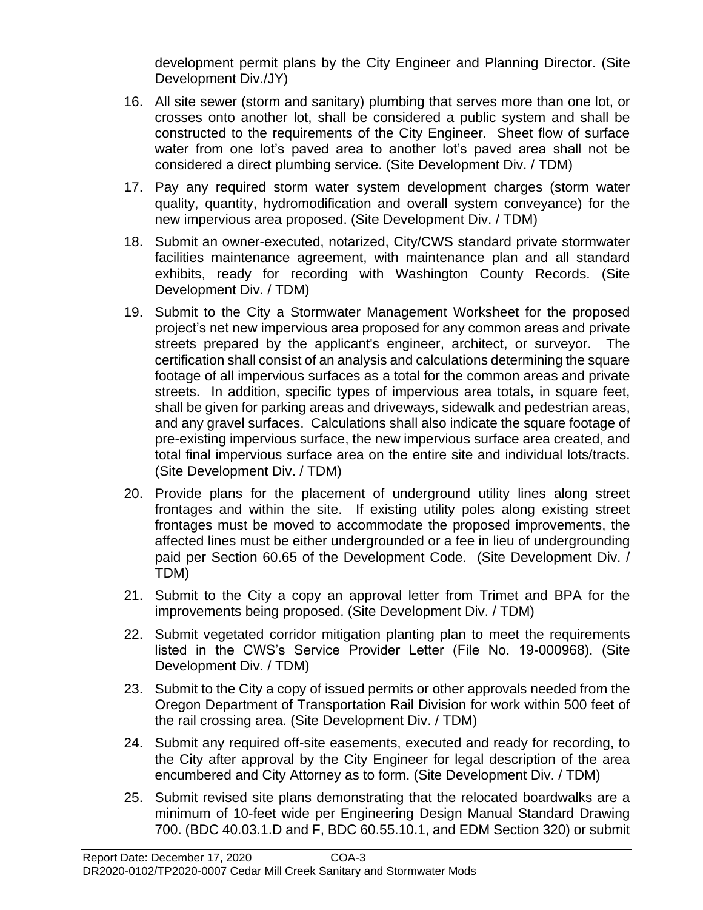development permit plans by the City Engineer and Planning Director. (Site Development Div./JY)

- 16. All site sewer (storm and sanitary) plumbing that serves more than one lot, or crosses onto another lot, shall be considered a public system and shall be constructed to the requirements of the City Engineer. Sheet flow of surface water from one lot's paved area to another lot's paved area shall not be considered a direct plumbing service. (Site Development Div. / TDM)
- 17. Pay any required storm water system development charges (storm water quality, quantity, hydromodification and overall system conveyance) for the new impervious area proposed. (Site Development Div. / TDM)
- 18. Submit an owner-executed, notarized, City/CWS standard private stormwater facilities maintenance agreement, with maintenance plan and all standard exhibits, ready for recording with Washington County Records. (Site Development Div. / TDM)
- 19. Submit to the City a Stormwater Management Worksheet for the proposed project's net new impervious area proposed for any common areas and private streets prepared by the applicant's engineer, architect, or surveyor. The certification shall consist of an analysis and calculations determining the square footage of all impervious surfaces as a total for the common areas and private streets. In addition, specific types of impervious area totals, in square feet, shall be given for parking areas and driveways, sidewalk and pedestrian areas, and any gravel surfaces. Calculations shall also indicate the square footage of pre-existing impervious surface, the new impervious surface area created, and total final impervious surface area on the entire site and individual lots/tracts. (Site Development Div. / TDM)
- 20. Provide plans for the placement of underground utility lines along street frontages and within the site. If existing utility poles along existing street frontages must be moved to accommodate the proposed improvements, the affected lines must be either undergrounded or a fee in lieu of undergrounding paid per Section 60.65 of the Development Code. (Site Development Div. / TDM)
- 21. Submit to the City a copy an approval letter from Trimet and BPA for the improvements being proposed. (Site Development Div. / TDM)
- 22. Submit vegetated corridor mitigation planting plan to meet the requirements listed in the CWS's Service Provider Letter (File No. 19-000968). (Site Development Div. / TDM)
- 23. Submit to the City a copy of issued permits or other approvals needed from the Oregon Department of Transportation Rail Division for work within 500 feet of the rail crossing area. (Site Development Div. / TDM)
- 24. Submit any required off-site easements, executed and ready for recording, to the City after approval by the City Engineer for legal description of the area encumbered and City Attorney as to form. (Site Development Div. / TDM)
- 25. Submit revised site plans demonstrating that the relocated boardwalks are a minimum of 10-feet wide per Engineering Design Manual Standard Drawing 700. (BDC 40.03.1.D and F, BDC 60.55.10.1, and EDM Section 320) or submit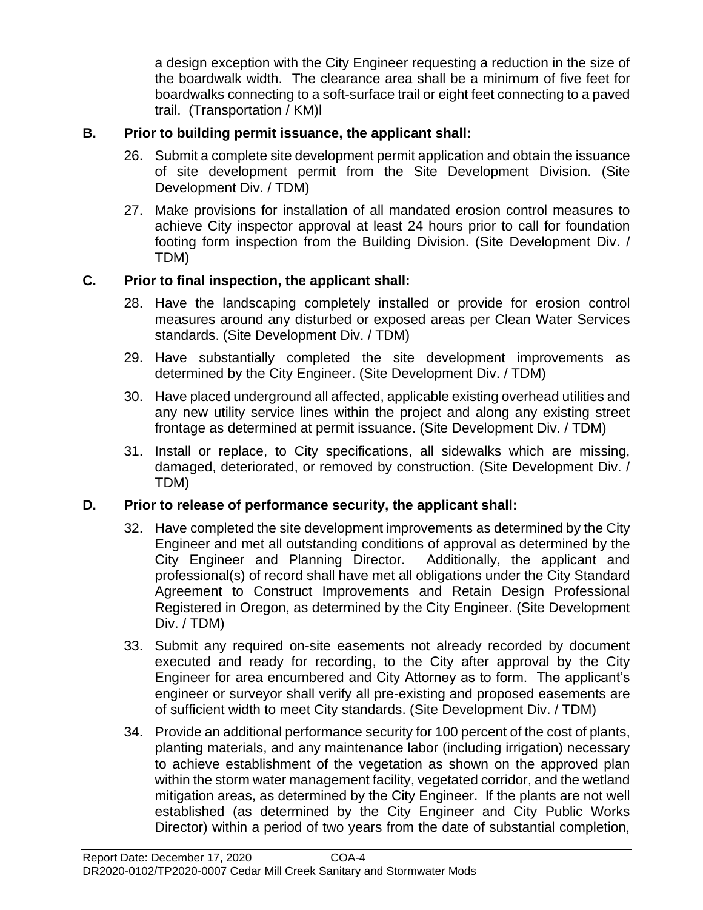a design exception with the City Engineer requesting a reduction in the size of the boardwalk width. The clearance area shall be a minimum of five feet for boardwalks connecting to a soft-surface trail or eight feet connecting to a paved trail. (Transportation / KM)l

# **B. Prior to building permit issuance, the applicant shall:**

- 26. Submit a complete site development permit application and obtain the issuance of site development permit from the Site Development Division. (Site Development Div. / TDM)
- 27. Make provisions for installation of all mandated erosion control measures to achieve City inspector approval at least 24 hours prior to call for foundation footing form inspection from the Building Division. (Site Development Div. / TDM)

# **C. Prior to final inspection, the applicant shall:**

- 28. Have the landscaping completely installed or provide for erosion control measures around any disturbed or exposed areas per Clean Water Services standards. (Site Development Div. / TDM)
- 29. Have substantially completed the site development improvements as determined by the City Engineer. (Site Development Div. / TDM)
- 30. Have placed underground all affected, applicable existing overhead utilities and any new utility service lines within the project and along any existing street frontage as determined at permit issuance. (Site Development Div. / TDM)
- 31. Install or replace, to City specifications, all sidewalks which are missing, damaged, deteriorated, or removed by construction. (Site Development Div. / TDM)

## **D. Prior to release of performance security, the applicant shall:**

- 32. Have completed the site development improvements as determined by the City Engineer and met all outstanding conditions of approval as determined by the City Engineer and Planning Director. Additionally, the applicant and professional(s) of record shall have met all obligations under the City Standard Agreement to Construct Improvements and Retain Design Professional Registered in Oregon, as determined by the City Engineer. (Site Development Div. / TDM)
- 33. Submit any required on-site easements not already recorded by document executed and ready for recording, to the City after approval by the City Engineer for area encumbered and City Attorney as to form. The applicant's engineer or surveyor shall verify all pre-existing and proposed easements are of sufficient width to meet City standards. (Site Development Div. / TDM)
- 34. Provide an additional performance security for 100 percent of the cost of plants, planting materials, and any maintenance labor (including irrigation) necessary to achieve establishment of the vegetation as shown on the approved plan within the storm water management facility, vegetated corridor, and the wetland mitigation areas, as determined by the City Engineer. If the plants are not well established (as determined by the City Engineer and City Public Works Director) within a period of two years from the date of substantial completion,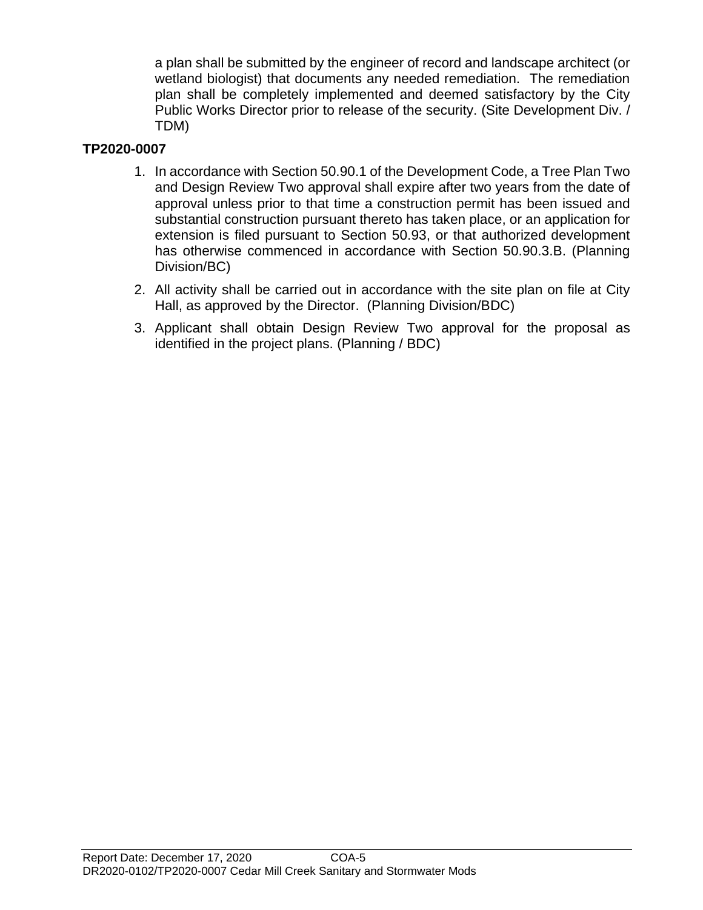a plan shall be submitted by the engineer of record and landscape architect (or wetland biologist) that documents any needed remediation. The remediation plan shall be completely implemented and deemed satisfactory by the City Public Works Director prior to release of the security. (Site Development Div. / TDM)

# **TP2020-0007**

- 1. In accordance with Section 50.90.1 of the Development Code, a Tree Plan Two and Design Review Two approval shall expire after two years from the date of approval unless prior to that time a construction permit has been issued and substantial construction pursuant thereto has taken place, or an application for extension is filed pursuant to Section 50.93, or that authorized development has otherwise commenced in accordance with Section 50.90.3.B. (Planning Division/BC)
- 2. All activity shall be carried out in accordance with the site plan on file at City Hall, as approved by the Director. (Planning Division/BDC)
- 3. Applicant shall obtain Design Review Two approval for the proposal as identified in the project plans. (Planning / BDC)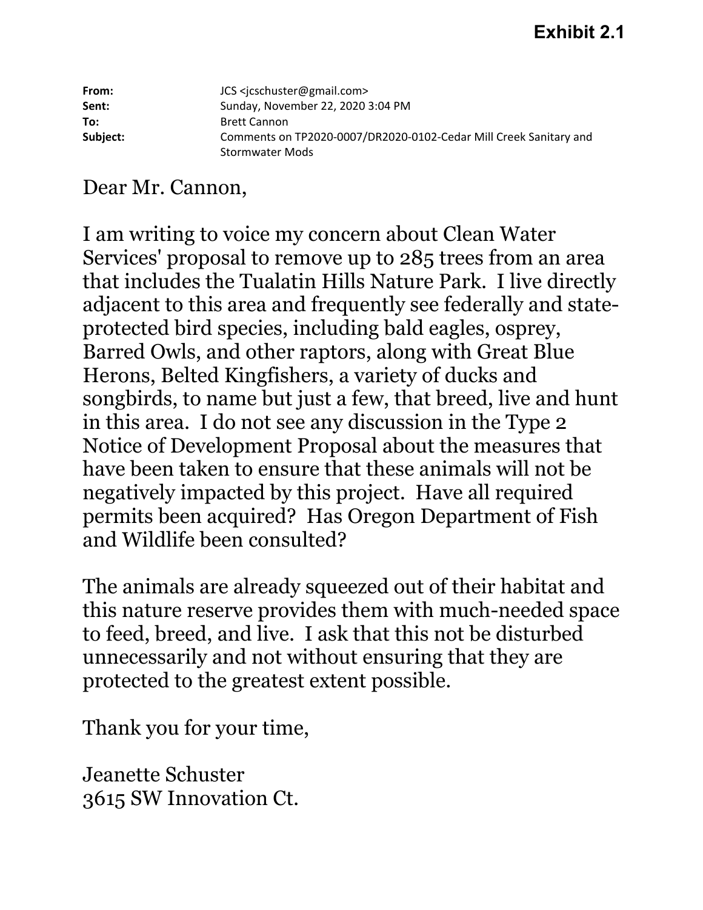# **Exhibit 2.1**

| From:    | JCS <jcschuster@gmail.com></jcschuster@gmail.com>                 |
|----------|-------------------------------------------------------------------|
| Sent:    | Sunday, November 22, 2020 3:04 PM                                 |
| To:      | <b>Brett Cannon</b>                                               |
| Subject: | Comments on TP2020-0007/DR2020-0102-Cedar Mill Creek Sanitary and |
|          | <b>Stormwater Mods</b>                                            |

# Dear Mr. Cannon,

I am writing to voice my concern about Clean Water Services' proposal to remove up to 285 trees from an area that includes the Tualatin Hills Nature Park. I live directly adjacent to this area and frequently see federally and stateprotected bird species, including bald eagles, osprey, Barred Owls, and other raptors, along with Great Blue Herons, Belted Kingfishers, a variety of ducks and songbirds, to name but just a few, that breed, live and hunt in this area. I do not see any discussion in the Type 2 Notice of Development Proposal about the measures that have been taken to ensure that these animals will not be negatively impacted by this project. Have all required permits been acquired? Has Oregon Department of Fish and Wildlife been consulted?

The animals are already squeezed out of their habitat and this nature reserve provides them with much-needed space to feed, breed, and live. I ask that this not be disturbed unnecessarily and not without ensuring that they are protected to the greatest extent possible.

Thank you for your time,

Jeanette Schuster 3615 SW Innovation Ct.